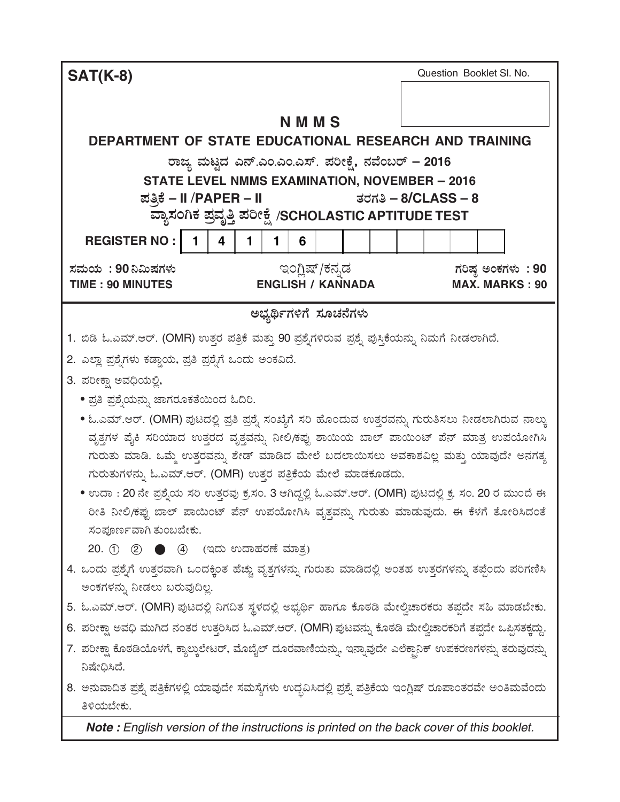| <b>SAT(K-8)</b>                                                                                                                                                                                 | Question Booklet SI. No. |  |  |  |
|-------------------------------------------------------------------------------------------------------------------------------------------------------------------------------------------------|--------------------------|--|--|--|
|                                                                                                                                                                                                 |                          |  |  |  |
| <b>NMMS</b>                                                                                                                                                                                     |                          |  |  |  |
| DEPARTMENT OF STATE EDUCATIONAL RESEARCH AND TRAINING                                                                                                                                           |                          |  |  |  |
| ರಾಜ್ಯ ಮಟ್ಟದ ಎನ್.ಎಂ.ಎಂ.ಎಸ್. ಪರೀಕ್ಷೆ, ನವೆಂಬರ್ – 2016                                                                                                                                              |                          |  |  |  |
| <b>STATE LEVEL NMMS EXAMINATION, NOVEMBER - 2016</b>                                                                                                                                            |                          |  |  |  |
| ಪತ್ರಿಕೆ – II /PAPER – II                                                                                                                                                                        | ತರಗತಿ – 8/CLASS – 8      |  |  |  |
| ವ್ಯಾಸಂಗಿಕ ಪ್ರವೃತ್ತಿ ಪರೀಕ್ಷೆ /SCHOLASTIC APTITUDE TEST                                                                                                                                           |                          |  |  |  |
| <b>REGISTER NO:</b><br>1<br>4<br>6<br>1<br>1                                                                                                                                                    |                          |  |  |  |
| ಇಂಗ್ಲಿಷ್/ಕನ್ನಡ<br>ಸಮಯ : 90 ನಿಮಿಷಗಳು                                                                                                                                                             | ಗರಿಷ್ಠ ಅಂಕಗಳು: 90        |  |  |  |
| <b>TIME: 90 MINUTES</b><br><b>ENGLISH / KANNADA</b>                                                                                                                                             | <b>MAX. MARKS: 90</b>    |  |  |  |
| ಅಭ್ಯರ್ಥಿಗಳಿಗೆ ಸೂಚನೆಗಳು                                                                                                                                                                          |                          |  |  |  |
| 1. ಬಿಡಿ ಓ.ಎಮ್.ಆರ್. (OMR) ಉತ್ತರ ಪತ್ರಿಕೆ ಮತ್ತು 90 ಪ್ರಶ್ನೆಗಳಿರುವ ಪ್ರಶ್ನೆ ಪುಸ್ತಿಕೆಯನ್ನು ನಿಮಗೆ ನೀಡಲಾಗಿದೆ.                                                                                            |                          |  |  |  |
| 2. ಎಲ್ಲಾ ಪ್ರಶೈಗಳು ಕಡ್ಡಾಯ, ಪ್ರತಿ ಪ್ರಶೈಗೆ ಒಂದು ಅಂಕವಿದೆ.                                                                                                                                           |                          |  |  |  |
| 3. ಪರೀಕ್ಷಾ ಅವಧಿಯಲ್ಲಿ,                                                                                                                                                                           |                          |  |  |  |
| • ಪ್ರತಿ ಪ್ರಶೈಯನ್ನು ಜಾಗರೂಕತೆಯಿಂದ ಓದಿರಿ.                                                                                                                                                          |                          |  |  |  |
|                                                                                                                                                                                                 |                          |  |  |  |
| • ಓ.ಎಮ್.ಆರ್. (OMR) ಪುಟದಲ್ಲಿ ಪ್ರತಿ ಪ್ರಶ್ನೆ ಸಂಖ್ಯೆಗೆ ಸರಿ ಹೊಂದುವ ಉತ್ತರವನ್ನು ಗುರುತಿಸಲು ನೀಡಲಾಗಿರುವ ನಾಲ್ಕು<br>ವೃತ್ತಗಳ ಪೈಕಿ ಸರಿಯಾದ ಉತ್ತರದ ವೃತ್ತವನ್ನು ನೀಲಿ/ಕಪ್ಪು ಶಾಯಿಯ ಬಾಲ್ ಪಾಯಿಂಟ್ ಪೆನ್ ಮಾತ್ರ ಉಪಯೋಗಿಸಿ |                          |  |  |  |
| ಗುರುತು ಮಾಡಿ. ಒಮ್ಮೆ ಉತ್ತರವನ್ನು ಶೇಡ್ ಮಾಡಿದ ಮೇಲೆ ಬದಲಾಯಿಸಲು ಅವಕಾಶವಿಲ್ಲ ಮತ್ತು ಯಾವುದೇ ಅನಗತ್ಯ                                                                                                          |                          |  |  |  |
| ಗುರುತುಗಳನ್ನು ಓ.ಎಮ್.ಆರ್. (OMR) ಉತ್ತರ ಪತ್ರಿಕೆಯ ಮೇಲೆ ಮಾಡಕೂಡದು.                                                                                                                                     |                          |  |  |  |
| • ಉದಾ : 20 ನೇ ಪ್ರಶ್ನೆಯ ಸರಿ ಉತ್ತರವು ಕ್ರ.ಸಂ. 3 ಆಗಿದ್ದಲ್ಲಿ ಓ.ಎಮ್.ಆರ್. (OMR) ಪುಟದಲ್ಲಿ ಕ್ರ. ಸಂ. 20 ರ ಮುಂದೆ ಈ                                                                                         |                          |  |  |  |
| ರೀತಿ ನೀಲಿ/ಕಪ್ಪು ಬಾಲ್ ಪಾಯಿಂಟ್ ಪೆನ್ ಉಪಯೋಗಿಸಿ ವೃತ್ತವನ್ನು ಗುರುತು ಮಾಡುವುದು. ಈ ಕೆಳಗೆ ತೋರಿಸಿದಂತೆ                                                                                                       |                          |  |  |  |
| ಸಂಪೂರ್ಣವಾಗಿ ತುಂಬಬೇಕು.                                                                                                                                                                           |                          |  |  |  |
| 20. ① ② ● ④ (ಇದು ಉದಾಹರಣೆ ಮಾತ್ರ)                                                                                                                                                                 |                          |  |  |  |
| 4. ಒಂದು ಪ್ರಶ್ನೆಗೆ ಉತ್ತರವಾಗಿ ಒಂದಕ್ಕಿಂತ ಹೆಚ್ಚು ವೃತ್ತಗಳನ್ನು ಗುರುತು ಮಾಡಿದಲ್ಲಿ ಅಂತಹ ಉತ್ತರಗಳನ್ನು ತಪ್ಪೆಂದು ಪರಿಗಣಿಸಿ                                                                                    |                          |  |  |  |
| ಅಂಕಗಳನ್ನು ನೀಡಲು ಬರುವುದಿಲ್ಲ.                                                                                                                                                                     |                          |  |  |  |
| 5. ಓ.ಎಮ್.ಆರ್. (OMR) ಪುಟದಲ್ಲಿ ನಿಗದಿತ ಸ್ಥಳದಲ್ಲಿ ಅಭ್ಯರ್ಥಿ ಹಾಗೂ ಕೊಠಡಿ ಮೇಲ್ವಿಚಾರಕರು ತಪ್ಪದೇ ಸಹಿ ಮಾಡಬೇಕು.                                                                                              |                          |  |  |  |
| 6. ಪರೀಕ್ಷಾ ಅವಧಿ ಮುಗಿದ ನಂತರ ಉತ್ತರಿಸಿದ ಓ.ಎಮ್.ಆರ್. (OMR) ಪುಟವನ್ನು ಕೊಠಡಿ ಮೇಲ್ವಿಚಾರಕರಿಗೆ ತಪ್ಪದೇ ಒಪ್ಪಿಸತಕ್ಕದ್ದು.                                                                                      |                          |  |  |  |
| 7. ಪರೀಕ್ಷಾ ಕೊಠಡಿಯೊಳಗೆ, ಕ್ಯಾಲ್ಕುಲೇಟರ್, ಮೊಬೈಲ್ ದೂರವಾಣಿಯನ್ನು, ಇನ್ನಾವುದೇ ಎಲೆಕ್ಟಾನಿಕ್ ಉಪಕರಣಗಳನ್ನು ತರುವುದನ್ನು<br>ನಿಷೇಧಿಸಿದೆ.                                                                          |                          |  |  |  |
|                                                                                                                                                                                                 |                          |  |  |  |
| 8. ಅನುವಾದಿತ ಪ್ರಶ್ನೆ ಪತ್ರಿಕೆಗಳಲ್ಲಿ ಯಾವುದೇ ಸಮಸ್ಯೆಗಳು ಉದ್ಭವಿಸಿದಲ್ಲಿ ಪ್ರಶ್ನೆ ಪತ್ರಿಕೆಯ ಇಂಗ್ಲಿಷ್ ರೂಪಾಂತರವೇ ಅಂತಿಮವೆಂದು<br>ತಿಳಿಯಬೇಕು.                                                                   |                          |  |  |  |
| Note: English version of the instructions is printed on the back cover of this booklet.                                                                                                         |                          |  |  |  |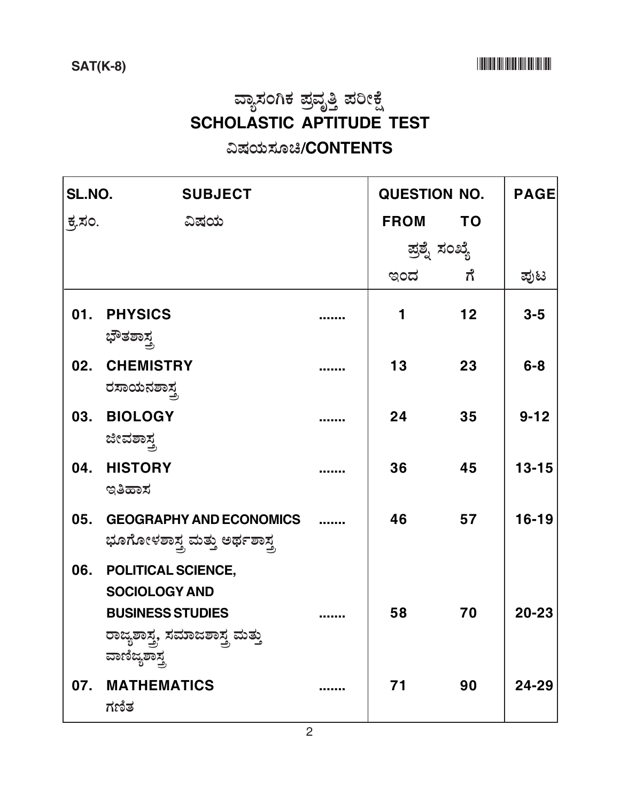# ವ್ಯಾಸಂಗಿಕ ಪ್ರವೃತ್ತಿ ಪರೀಕ್ಷೆ<br>SCHOLASTIC APTITUDE TEST

### ವಿಷಯಸೂಚಿ/CONTENTS

| SL.NO.        | <b>SUBJECT</b>                                                        |                | <b>QUESTION NO.</b> |           | <b>PAGE</b> |
|---------------|-----------------------------------------------------------------------|----------------|---------------------|-----------|-------------|
| <u>ಕ್ಕಸಂ.</u> | ವಿಷಯ                                                                  |                | <b>FROM</b>         | <b>TO</b> |             |
|               |                                                                       | ಪ್ರಶ್ನೆ ಸಂಖ್ಯೆ |                     |           |             |
|               |                                                                       |                | ಇಂದ ಗೆ              |           | ಪುಟ         |
| 01.           | <b>PHYSICS</b>                                                        |                | 1                   | 12        | $3 - 5$     |
| 02.           | ಭೌತಶಾಸ್ತ್ರ<br><b>CHEMISTRY</b><br>ರಸಾಯನಶಾಸ್ತ್ರ                        |                | 13                  | 23        | $6 - 8$     |
| 03.           | <b>BIOLOGY</b><br>ಜೀವಶಾಸ್ತ್ರ                                          |                | 24                  | 35        | $9 - 12$    |
| 04.           | <b>HISTORY</b><br>ಇತಿಹಾಸ                                              |                | 36                  | 45        | $13 - 15$   |
| 05.           | <b>GEOGRAPHY AND ECONOMICS</b><br>ಭೂಗೋಳಶಾಸ್ತ್ರ ಮತ್ತು ಅರ್ಥಶಾಸ್ತ್ರ      |                | 46                  | 57        | $16 - 19$   |
| 06.           | POLITICAL SCIENCE,<br><b>SOCIOLOGY AND</b><br><b>BUSINESS STUDIES</b> |                | 58                  | 70        | 20-23       |
|               | ರಾಜ್ಯಶಾಸ್ತ್ರ ಸಮಾಜಶಾಸ್ತ್ರ ಮತ್ತು<br>ವಾಣಿಜ್ಯಶಾಸ್ತ್ರ                      |                |                     |           |             |
| 07.           | <b>MATHEMATICS</b><br>ಗಣಿತ                                            |                | 71                  | 90        | 24-29       |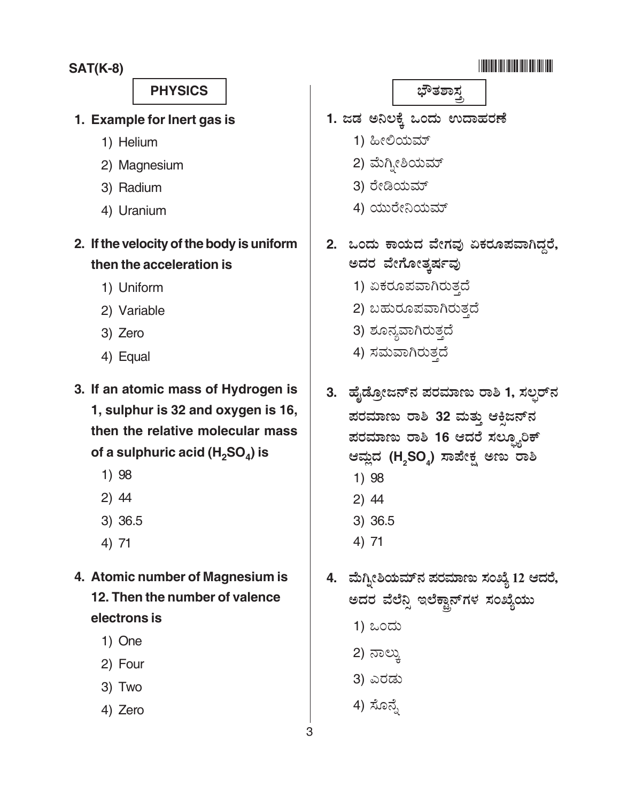### -

- **1. Example for Inert gas is**
	- 1) Helium
	- 2) Magnesium
	- 3) Radium
	- 4) Uranium
- **2. If the velocity of the body is uniform then the acceleration is**
	- 1) Uniform
	- 2) Variable
	- 3) Zero
	- 4) Equal
- **3. If an atomic mass of Hydrogen is 1, sulphur is 32 and oxygen is 16, then the relative molecular mass** of a sulphuric acid (H<sub>2</sub>SO<sub>4</sub>) is
	- 1) 98
	- 2) 44
	- 3) 36.5
	- 4) 71
- **4. Atomic number of Magnesium is 12. Then the number of valence electrons is**
	- 1) One
	- 2) Four
	- 3) Two
	- 4) Zero
- **SAT(K-8)** -1. ಜಡ ಅನಿಲಕ್ಕೆ ಒಂದು ಉದಾಹರಣೆ 1) ಹೀಲಿಯಮ್ ׇ֦ׅ֦֧֘֝֬ 2) ಮೆಗ್ತೀಶಿಯಮ್ ׅ֒ 3) ರೇಡಿಯಮ್ ׅ֒ 4) ಯುರೇನಿಯಮ್ ֦֧֦֧֦֧֦֧֦֧֦֧֦֧ׅ֚֚֬֜֜֓֡֬ 2. ಒಂದು ಕಾಯದ ವೇಗವು ಏಕರೂಪವಾಗಿದ್ದರೆ, ಅದರ ವೇಗೋತ್ಕರ್ಷವು 1) ಏಕರೂಪವಾಗಿರುತ್ತದೆ 2) ಬಹುರೂಪವಾಗಿರುತ್ತದೆ 3) ಶೂನ್ಯವಾಗಿರುತ್ತದೆ 4) ಸಮವಾಗಿರುತ್ತದೆ 3. ಹೈಡ್ರೋಜನ್**ನ ಪರಮಾಣು ರಾಶಿ 1, ಸಲ್ಫರ್**ನ ಪರಮಾಣು ರಾಶಿ 32 ಮತ್ತು ಆಕ್ಸಿಜನ್**ನ** ಪರಮಾಣು ರಾಶಿ 16 ಆದರೆ ಸಲ್ಫ್ಯೂರಿಕ್ ಆಮ್ಲದ (H<sub>2</sub>SO<sub>4</sub>) ಸಾಪೇಕ್ಷ ಅಣು ರಾಶಿ 1) 98 2) 44 3) 36.5 4) 71 4. ಮೆಗ್ನೀಶಿಯಮ್**ನ ಪರಮಾಣು ಸಂಖ್ಯೆ 12 ಆದರೆ**, ಅದರ ವೆಲೆನ್ಸಿ ಇಲೆಕ್ಟಾನ್ಗಳ ಸಂಖ್ಯೆಯು <u>1) ಒಂದು</u> 2) ನಾಲು, 3)  4) ಸೊನ್<mark>ಸೆ</mark>  **PHYSICS** )\*61!7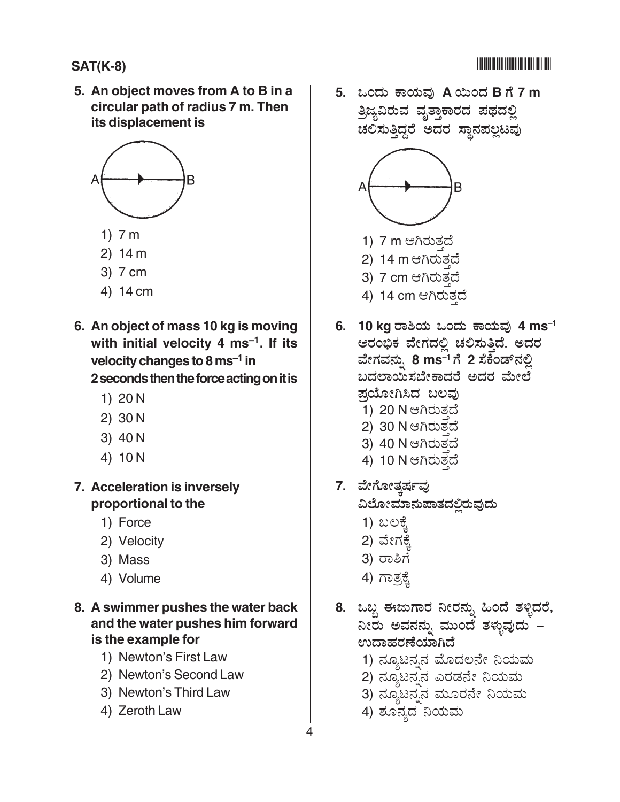### **SAT(K-8)** -

**5. An object moves from A to B in a circular path of radius 7 m. Then its displacement is**



- 1) 7 m
- 2) 14 m
- 3) 7 cm
- 4) 14 cm
- **6. An object of mass 10 kg is moving with initial velocity 4 ms–1. If its velocity changes to 8 ms–1 in**

**2 seconds then the force acting on it is**

- 1) 20 N
- 2) 30 N
- 3) 40 N
- 4) 10 N
- **7. Acceleration is inversely proportional to the**
	- 1) Force
	- 2) Velocity
	- 3) Mass
	- 4) Volume
- **8. A swimmer pushes the water back and the water pushes him forward is the example for**
	- 1) Newton's First Law
	- 2) Newton's Second Law
	- 3) Newton's Third Law
	- 4) Zeroth Law

**5.** @ " 5 **A** P  **B 7 m** ತ್ರಿಜ್ಯವಿರುವ ವೃತ್ತಾಕಾರದ ಪಥದಲ್ಲಿ ಚಲಿಸುತ್ತಿದ್ದರೆ ಅದರ ಸ್ಥಾನಪಲ್ಲಟವು



- 1) 7 m ಆಗಿರುತ್ತದೆ
- 2) 14 m ಆಗಿರುತದೆ
- 3) 7 cm ಆಗಿರುತ್ತದೆ
- 4) 14 cm ಆಗಿರುತ್ತದೆ
- **6. 10 kg** ರಾಶಿಯ ಒಂದು ಕಾಯವು 4 ms<sup>-1</sup> ಆರಂಭಿಕ ವೇಗದಲ್ಲಿ ಚಲಿಸುತ್ತಿದೆ. ಅದರ ವೇಗವನ್ನು 8 ms<sup>-1</sup> ಗೆ 2 ಸೆಕೆಂಡ್**ನಲ್ಲಿ** ಬದಲಾಯಿಸಬೇಕಾದರೆ ಅದರ ಮೇಲೆ ಪಯೋಗಿಸಿದ ಬಲವು 1) 20 N ಆಗಿರುತದೆ 2) 30 N ಆಗಿರುತದೆ 3) 40 N ಆಗಿರುತದೆ
	- 4) 10 N ಆಗಿರುತ್ತದೆ
- <u>7. ವೇಗೋತ್ತರ್ಷವು</u> ವಿಲೋಮಾನುಪಾತದಲ್ಲಿರುವುದು
	- 1) ಬಲಕ<u>್ಕೆ</u>
	- 2) ವೇಗಕ<u>್</u>ಕೆ
	- 3) ರಾಶಿಗೆ
	- 4) ಗಾತ್<u>ರಕ್</u>ರೆ
- 8. ಒಬ್ಬ ಈಜುಗಾರ ನೀರನ್ನು ಹಿಂದೆ ತಳ್ಳಿದರೆ, ನೀರು ಅವನನ್ನು ಮುಂದೆ ತಳ್ಳುವುದು – ಉದಾಹರಣೆಯಾಗಿದೆ
	- 1) ನ್ಯೂಟನ್ನನ ಮೊದಲನೇ ನಿಯಮ
	- .<br>2) ನ್ಯೂಟನ್ನನ ಎರಡನೇ ನಿಯಮ
	- $\overline{3)}$  ನ್ಯೂಟನ್ನನ ಮೂರನೇ ನಿಯಮ
	- 4) ಶೂನ್ಯದ ನಿಯಮ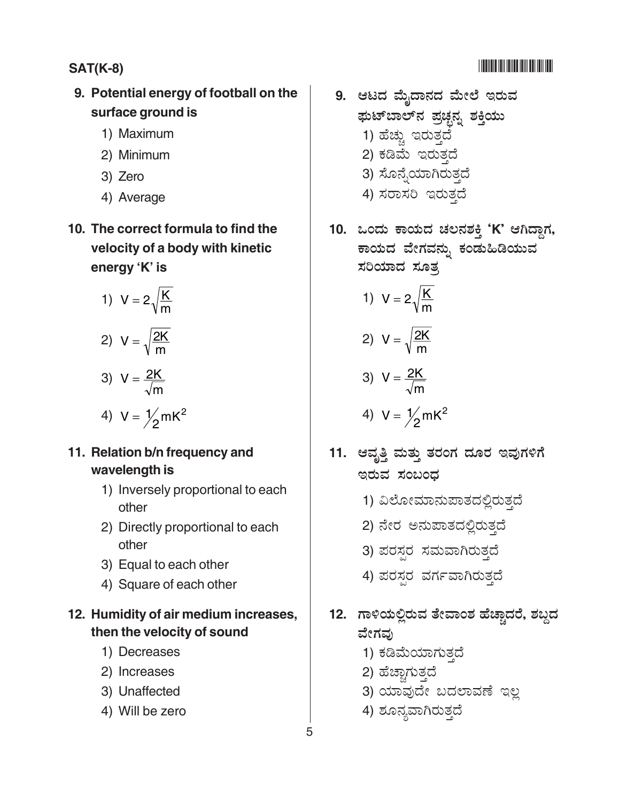### **SAT(K-8)** -

### **9. Potential energy of football on the surface ground is**

- 1) Maximum
- 2) Minimum
- 3) Zero
- 4) Average
- **10. The correct formula to find the velocity of a body with kinetic energy 'K' is**

1) 
$$
V = 2\sqrt{\frac{K}{m}}
$$
  
2) 
$$
V = \sqrt{\frac{2K}{m}}
$$
  
3) 
$$
V = \frac{2K}{\sqrt{m}}
$$

$$
4) \ \ V = \frac{1}{2} mK^2
$$

#### **11. Relation b/n frequency and wavelength is**

- 1) Inversely proportional to each other
- 2) Directly proportional to each other
- 3) Equal to each other
- 4) Square of each other

#### **12. Humidity of air medium increases, then the velocity of sound**

- 1) Decreases
- 2) Increases
- 3) Unaffected
- 4) Will be zero
- 9. ಆಟದ ಮೈದಾನದ ಮೇಲೆ ಇರುವ ಘುಟ್ಐಲ್ನ ಪಚೃನ್ಯ ಶಕ್ತಿಯು 1) ಹೆಚ್ಚು ಇರುತ್ತದೆ .<br>2) ಕಡಿಮೆ ಇರುತ್ತದೆ .<br>3) ಸೊನ್ನೆಯಾಗಿರುತ್ತದೆ
	- 4) ಸರಾಸರಿ ಇರುತ್ತದೆ
- 10. ಒಂದು ಕಾಯದ ಚಲನಶಕ್ತಿ 'K' ಆಗಿದ್ದಾಗ, ಕಾಯದ ವೇಗವನ್ನು ಕಂಡುಹಿಡಿಯುವ ಸರಿಯಾದ ಸೂತ್ರ

1) 
$$
V = 2\sqrt{\frac{K}{m}}
$$

$$
2) \ \ V = \sqrt{\frac{2K}{m}}
$$

$$
3) \ \ V = \frac{2K}{\sqrt{m}}
$$

$$
4) V = \frac{1}{2} mK^2
$$

- 11. ಆವೃತ್ತಿ ಮತ್ತು ತರಂಗ ದೂರ ಇವುಗಳಿಗೆ ಇರುವ ಸಂಬಂಧ
	- 1) ವಿಲೋಮಾನುಪಾತದಲ್ಲಿರುತ್ತದೆ
	- 2) ನೇರ ಅನುಪಾತದಲ್ಲಿರುತ್ತದೆ
	- 3) ಪರಸ್ಪ ಸಮವಾಗಿರುತ್ತದೆ
	- 4) ಪರಸ್ಪರ ವರ್ಗವಾಗಿರುತ್ತದೆ
- 12. ಗಾಳಿಯಲ್ಲಿರುವ ತೇವಾಂಶ ಹೆಚ್ಚಾದರೆ, ಶಬ್ದದ ವೇಗವು
	- 1) ಕಡಿಮೆಯಾಗುತ್ತದೆ
	- 2) ಹೆಚ್ಚಾಗುತ್ತದೆ .<br>İ
	- 3) ಯಾವುದೇ ಬದಲಾವಣೆ ಇಲ್ಲ
	- 4) ಶೂನ್ಯವಾಗಿರುತ್ತದೆ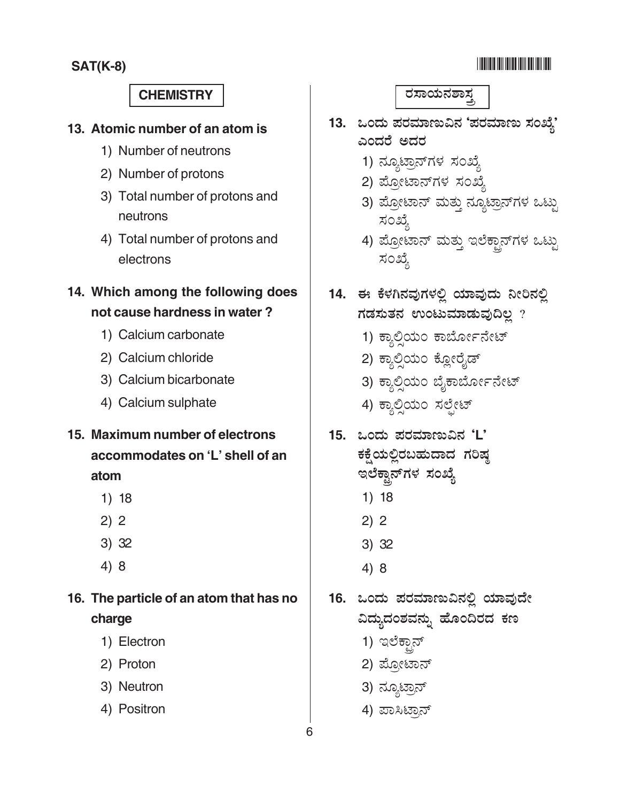#### -

#### **CHEMISTRY** -

#### **13. Atomic number of an atom is**

- 1) Number of neutrons
- 2) Number of protons
- 3) Total number of protons and neutrons
- 4) Total number of protons and electrons
- **14. Which among the following does not cause hardness in water ?**
	- 1) Calcium carbonate
	- 2) Calcium chloride
	- 3) Calcium bicarbonate
	- 4) Calcium sulphate
- **15. Maximum number of electrons accommodates on 'L' shell of an atom**
	- 1) 18
	- 2) 2
	- 3) 32
	- 4) 8
- **16. The particle of an atom that has no charge**
	- 1) Electron
	- 2) Proton
	- 3) Neutron
	- 4) Positron

#### ರಸಾಯನಶಾಸ್ತ

- 13. ಒಂದು ಪರಮಾಣುವಿನ 'ಪರಮಾಣು ಸಂಖ್ಯೆ' ಎಂದರೆ ಅದರ
	- 1) ನ್ಯೂಟ್ರಾನ್**ಗಳ** ಸಂಖ್ಯೆ :
	- .<br>2) ಪ್ರೋಟಾನ್ಗಳ ಸಂಖ್ಯೆ
	- .<br>3) ಪ್ರೋಟಾನ್ ಮತ್ತು ನ್ಯೂಟಾನ್ಗಳ ಒಟ್ಟು ಸಂಖ್ಯೆ :
	- .<br>4) ಪ್ರೋಟಾನ್ ಮತ್ತು ಇಲೆಕ್ಸಾನ್ಗಳ ಒಟ್ಟು ಸಂಖ್ಯೆ :
- 14. ಈ ಕೆಳಗಿನವುಗಳಲ್ಲಿ ಯಾವುದು ನೀರಿನಲ್ಲಿ ಗಡಸುತನ ಉಂಟುಮಾಡುವುದಿಲ್ಲ ?
	- 1) ಕ್ಯಾಲ್ರಿಯಂ ಕಾರ್ಬೋನೇಟ್
	- 2) ಕ್ಯಾಲಿಯಂ ಕ್ಲೋರೈಡ್
	- 3) ಕ್ಯಾಲ್ರಿಯಂ ಬೈಕಾರ್ಬೋನೇಟ್
	- 4) ಕ್ಯಾಲಿಯಂ ಸಲೇಟ್
- 15. ಒಂದು ಪರಮಾಣುವಿನ 'L'

ಕಕ್ಷೆಯಲ್ಲಿರಬಹುದಾದ ಗರಿಷ್ಠ ಇಲೆಕ್ಟಾನ್**ಗಳ** ಸಂಖ್ಯೆ

- 1) 18
- 2) 2
- 3) 32
- 4) 8
- 16. ಒಂದು ಪರಮಾಣುವಿನಲ್ಲಿ ಯಾವುದೇ ವಿದ್ಯುದಂಶವನ್ನು ಹೊಂದಿರದ ಕಣ
	- 1) ಇಲೆಕ್<u>ತಾ</u>ನ್
	- 2) ಪ್ರೋಟಾನ್
	- 3) ನ್ಯೂಟ<mark>್ಸಾ</mark>ನ್
	- 4) ಪಾಸಿಟ್ರಾನ್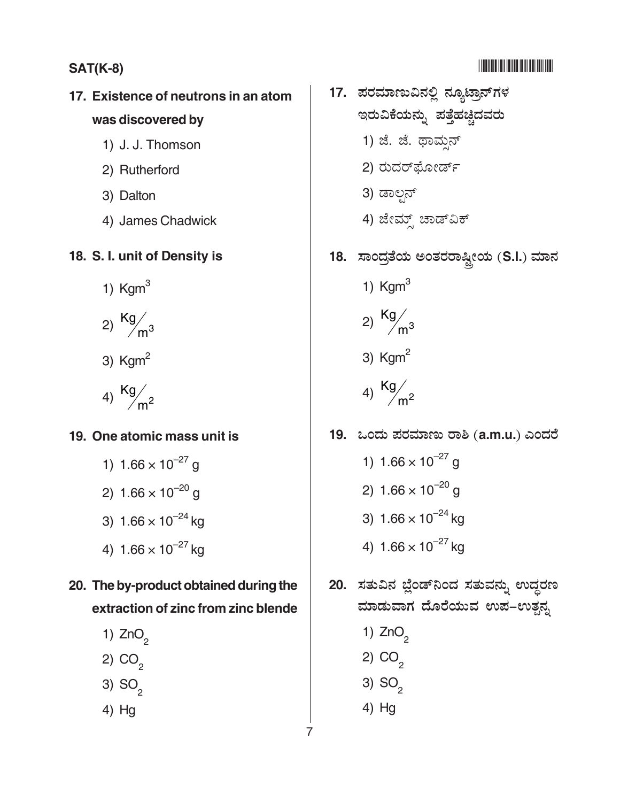### **SAT(K-8)** -

### **17. Existence of neutrons in an atom was discovered by**

- 1) J. J. Thomson
- 2) Rutherford
- 3) Dalton
- 4) James Chadwick

#### **18. S. I. unit of Density is**

- 1)  $Kgm<sup>3</sup>$
- 2)  $\frac{Kg}{m^3}$
- 3)  $Kgm<sup>2</sup>$
- 4)  $\frac{Kg}{m^2}$

#### **19. One atomic mass unit is**

1)  $1.66 \times 10^{-27}$  g 2)  $1.66 \times 10^{-20}$  g 3)  $1.66 \times 10^{-24}$  kg 4)  $1.66 \times 10^{-27}$  kg

### **20. The by-product obtained during the extraction of zinc from zinc blende**

- 1)  $ZnO<sub>2</sub>$
- 2)  $CO<sub>2</sub>$
- 3)  $SO<sub>2</sub>$
- 4) Hg
- -
- 17. ಪರಮಾಣುವಿನಲ್ಲಿ ನ್ಯೂಟ್ರಾನ್**ಗಳ** ಇರುವಿಕೆಯನ್ನು ಪತ್ತೆಹಚ್ಚಿದವರು 1) ಜೆ. ಜೆ. ಥಾಮನ<u>್</u> 2) ರುದರ್ ೋರ್ಡ್ R 3) ಡಾಲ್ಗಸ್ 4) ಜೇಮ್ಸ್ ಚಾಡ್ವಿಕ್ 18. ಸಾಂದ್ರತೆಯ ಅಂತರರಾಷ್ಟೀಯ (S.I.) ಮಾನ 1)  $K \text{g m}^3$ 2)  $\frac{Kg}{m^3}$ 3)  $Kgm<sup>2</sup>$ 4)  $\frac{Kg}{m^2}$ 19. ಒಂದು ಪರಮಾಣು ರಾಶಿ (a.m.u.) ಎಂದರೆ 1)  $1.66 \times 10^{-27}$  g 2)  $1.66 \times 10^{-20}$  g 3)  $1.66 \times 10^{-24}$  kg 4)  $1.66 \times 10^{-27}$  kg 20. ಸತುವಿನ ಬ್ಲೆಂಡ್**ನಿಂದ ಸತುವನ್ನು ಉದ್ಧರ**ಣ ಮಾಡುವಾಗ ದೊರೆಯುವ ಉಪ–ಉತ್ಪನ್ನ 1)  $ZnO<sub>2</sub>$ 2)  $CO<sub>2</sub>$ 3)  $SO<sub>2</sub>$ 
	- 4) Hg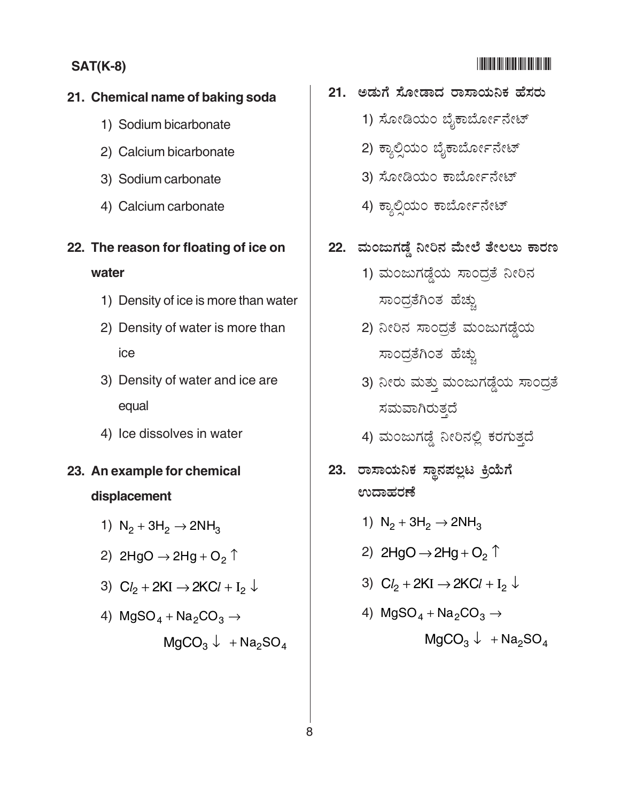### **21. Chemical name of baking soda**

- 1) Sodium bicarbonate
- 2) Calcium bicarbonate
- 3) Sodium carbonate
- 4) Calcium carbonate

### **22. The reason for floating of ice on water**

- 1) Density of ice is more than water
- 2) Density of water is more than ice
- 3) Density of water and ice are equal
- 4) Ice dissolves in water

### **23. An example for chemical displacement**

- 1)  $N_2 + 3H_2 \rightarrow 2NH_3$
- 2) 2HgO  $\rightarrow$  2Hg + O<sub>2</sub>  $\uparrow$
- 3)  $Cl_2 + 2KI$  → 2KC $l + I_2$  ↓
- 4)  $MgSO_4 + Na_2CO_3 \rightarrow$  $MqCO_3 \downarrow + Na_2SO_4$
- 21. ಅಡುಗೆ ಸೋಡಾದ ರಾಸಾಯನಿಕ ಹೆಸರು
	- 1) ಸೋಡಿಯಂ ಬೈಕಾರ್ಬೋನೇಟ್
	- 2) ಕ್ಯಾಲಿಯಂ ಬೈಕಾರ್ಬೋನೇಟ್
	- .<br>3) ಸೋಡಿಯಂ ಕಾರ್ಬೋನೇಟ್
	- .<br>4) ಕ್ಯಾಲಿಯಂ ಕಾರ್ಬೋನೇಟ್
- 22. ಮಂಜುಗಡ್ಡೆ ನೀರಿನ ಮೇಲೆ ತೇಲಲು ಕಾರಣ
	- 1) ಮಂಜುಗಡ್ಡೆಯ ಸಾಂದ್ರತೆ ನೀರಿನ ಸಾಂದ್ರಗಿಂತ ಹೆಚು
	- 2) ನೀರಿನ ಸಾಂದ್ರತೆ ಮಂಜುಗಡ್<mark>ದೆ</mark>ಯ ಸಾಂದತೆಗಿಂತ ಹೆಚು
	- 3) ನೀರು ಮತ್ತು ಮಂಜುಗಡ್ಡೆಯ ಸಾಂದ್ರತೆ ಸಮವಾಗಿರುತ್ತದೆ
	- 4) ಮಂಜುಗಡ್ಡೆ ನೀರಿನಲ್ಲಿ ಕರಗುತ್ತದೆ
- 23. ರಾಸಾಯನಿಕ ಸ್ಥಾನಪಲ್ಲಟ ಕ್ರಿಯೆಗೆ ಉದಾಹರಣೆ
	- 1)  $N_2 + 3H_2 \rightarrow 2NH_3$
	- 2)  $2HgO \rightarrow 2Hg + O<sub>2</sub> \uparrow$
	- 3)  $Cl_2 + 2KI$  → 2KC $l + I_2$  ↓
	- 4)  $MgSO_4 + Na_2CO_3 \rightarrow$

 $MgCO<sub>3</sub> \downarrow + Na<sub>2</sub>SO<sub>4</sub>$ 

#### -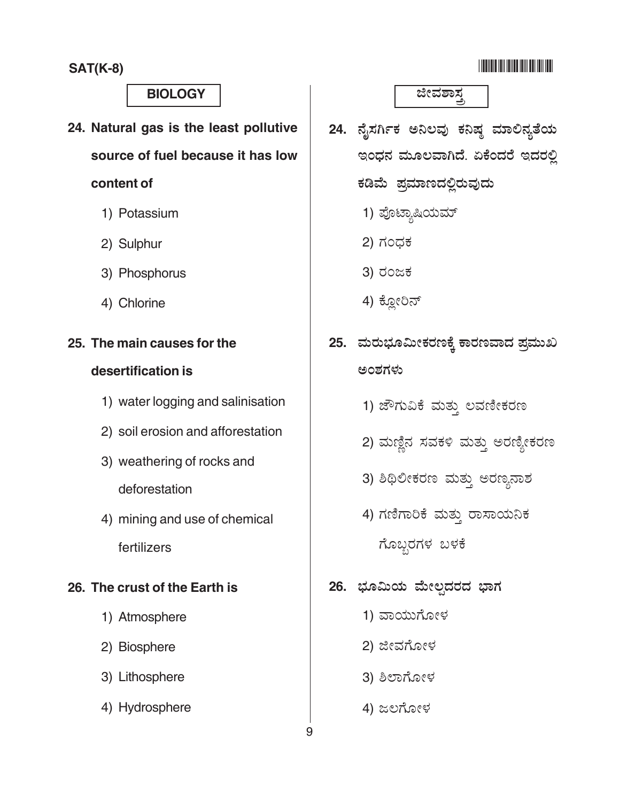#### <u> Alian Andria Mandal</u>

### **BIOLOGY**

- 24. Natural gas is the least pollutive source of fuel because it has low content of
	- 1) Potassium
	- 2) Sulphur
	- 3) Phosphorus
	- 4) Chlorine

#### 25. The main causes for the

#### desertification is

- 1) water logging and salinisation
- 2) soil erosion and afforestation
- 3) weathering of rocks and deforestation
- 4) mining and use of chemical fertilizers

#### 26. The crust of the Earth is

- 1) Atmosphere
- 2) Biosphere
- 3) Lithosphere
- 4) Hydrosphere

ಜೀವಶಾಸ್ತ

- 24. ನೈಸರ್ಗಿಕ ಅನಿಲವು ಕನಿಷ್ಠ ಮಾಲಿನ್ಯತೆಯ ಇಂಧನ ಮೂಲವಾಗಿದೆ. ಏಕೆಂದರೆ ಇದರಲ್ಲಿ ಕಡಿಮೆ ಪ್ರಮಾಣದಲ್ಲಿರುವುದು
	- 1) ಪೊಟ್ಯಾಷಿಯಮ್
	- 2) ಗಂಧಕ
	- 3) ರಂಜಕ
	- 4) ಕ್ಲೋರಿನ್
- 25. ಮರುಭೂಮೀಕರಣಕ್ಕೆ ಕಾರಣವಾದ ಪ್ರಮುಖ ಅಂಶಗಳು
	- 1) ಜೌಗುವಿಕೆ ಮತ್ತು ಲವಣೀಕರಣ
	- 2) ಮಣ್ಣಿನ ಸವಕಳಿ ಮತ್ತು ಅರಣ್ಯೀಕರಣ
	- 3) ಶಿಥಿಲೀಕರಣ ಮತ್ತು ಅರಣ್ಯನಾಶ
	- 4) ಗಣಿಗಾರಿಕೆ ಮತ್ತು ರಾಸಾಯನಿಕ ಗೊಬ್ಬರಗಳ ಬಳಕೆ
- 26. ಭೂಮಿಯ ಮೇಲ್ಪದರದ ಭಾಗ
	- 1) ವಾಯುಗೋಳ
	- 2) ಜೀವಗೋಳ
	- 3) ಶಿಲಾಗೋಳ
	- 4) ಜಲಗೋಳ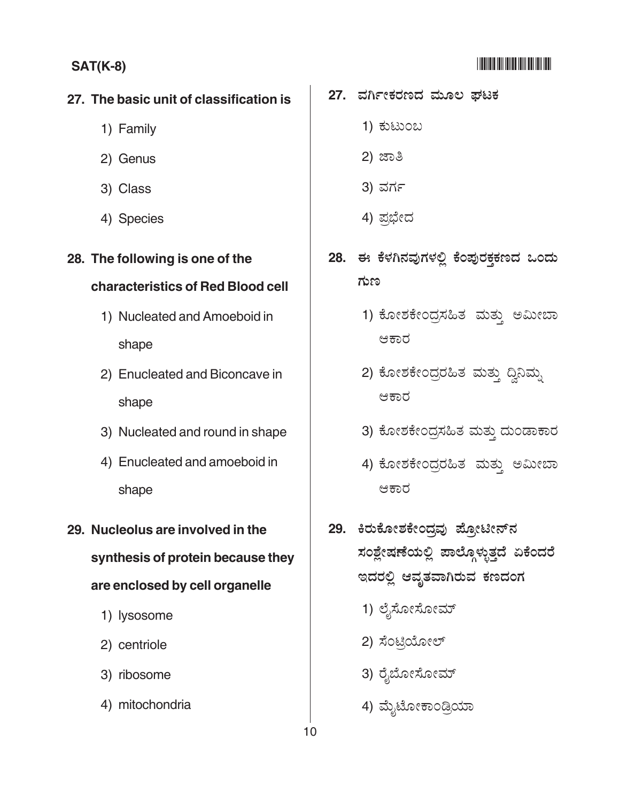#### **THE REAL PROPERTY AND REAL PROPERTY**

#### **SAT(K-8)**

#### 27. The basic unit of classification is

- 1) Family
- 2) Genus
- 3) Class
- 4) Species

### 28. The following is one of the

#### characteristics of Red Blood cell

- 1) Nucleated and Amoeboid in shape
- 2) Enucleated and Biconcave in shape
- 3) Nucleated and round in shape
- 4) Enucleated and amoeboid in shape
- 29. Nucleolus are involved in the synthesis of protein because they are enclosed by cell organelle
	- 1) lysosome
	- 2) centriole
	- 3) ribosome
	- 4) mitochondria

#### 27. ವರ್ಗೀಕರಣದ ಮೂಲ ಘಟಕ

- 1) ಕುಟುಂಬ
- 2) ಜಾತಿ
- 3) ವರ್ಗ
- 4) ಪ್ರಭೇದ
- 28. ಈ ಕೆಳಗಿನವುಗಳಲ್ಲಿ ಕೆಂಪುರಕ್ತಕಣದ ಒಂದು ಗುಣ
	- 1) ಕೋಶಕೇಂದ್ರಸಹಿತ ಮತ್ತು ಅಮೀಬಾ ಆಕಾರ
	- 2) ಕೋಶಕೇಂದ್ರರಹಿತ ಮತ್ತು ದ್ವಿನಿಮ್ನ ಆಕಾರ
	- 3) ಕೋಶಕೇಂದ್ರಸಹಿತ ಮತ್ತು ದುಂಡಾಕಾರ
	- 4) ಕೋಶಕೇಂದ್ರರಹಿತ ಮತ್ತು ಅಮೀಬಾ ಆಕಾರ
- 29. ಕಿರುಕೋಶಕೇಂದ್ರವು ಪ್ರೋಟೀನ್ನ ಸಂಶ್ಲೇಷಣೆಯಲ್ಲಿ ಪಾಲ್ಗೊಳ್ಳುತ್ತದೆ ಏಕೆಂದರೆ ಇದರಲ್ಲಿ ಆವೃತವಾಗಿರುವ ಕಣದಂಗ
	- 1) ಲೈಸೋಸೋಮ್
	- 2) ಸೆಂಟ್ರಿಯೋಲ್
	- 3) ರೈಬೋಸೋಮ್
	- 4) ಮೈಟೋಕಾಂಡ್ರಿಯಾ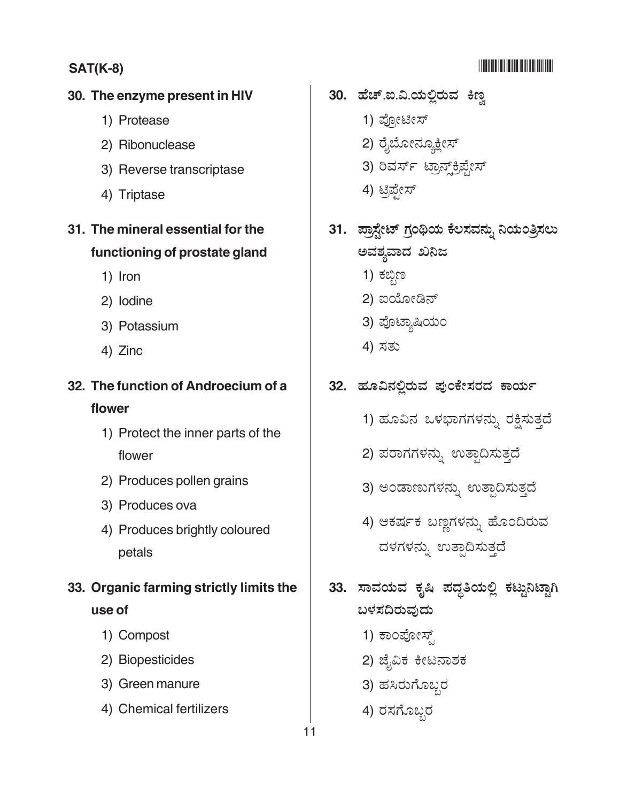### **SAT(K-8)** -

### -

#### **30. The enzyme present in HIV**

- 1) Protease
- 2) Ribonuclease
- 3) Reverse transcriptase
- 4) Triptase

### **31. The mineral essential for the functioning of prostate gland**

- 1) Iron
- 2) Iodine
- 3) Potassium
- 4) Zinc

# **32. The function of Androecium of a**

#### **flower**

- 1) Protect the inner parts of the flower
- 2) Produces pollen grains
- 3) Produces ova
- 4) Produces brightly coloured petals
- **33. Organic farming strictly limits the use of**
	- 1) Compost
	- 2) Biopesticides
	- 3) Green manure
	- 4) Chemical fertilizers
- **30. ಹೆಚ್**.ಐ.ವಿ.ಯಲ್ಲಿರುವ ಕಿಣ್ವ
	- 1) ಪೋಟೀಸ್
	- 2) ರೈಬೋನ್ಹೂಕ್ಷೀಸ್
	- .<br>3) ರಿವರ್ಸ್ ಟ್ರಾನ್<sub>ರೆ</sub>ಪ್ರೇಸ್
	- 4) ಟಿಪೇಸ್
- 31. ಪ್ರಾಸ್ಟೇಟ್ ಗ್ರಂಥಿಯ ಕೆಲಸವನ್ನು ನಿಯಂತ್ರಿಸಲು ಅವಶ್ಯವಾದ ಖನಿಜ
	- 1) ಕಬ್ಬಿಣ
	- 2) ಐಯೋಡಿನ್
	- 3) ಪೊಟ್ಯಾಷಿಯಂ
	- 4) ಸತು
- 32. ಹೂವಿನಲ್ಲಿರುವ ಪುಂಕೇಸರದ ಕಾರ್ಯ
	- 1) ಹೂವಿನ ಒಳಭಾಗಗಳನ್ನು ರಕ್ಷಿಸುತ್ತದೆ
	- 2) ಪರಾಗಗಳನ್ನು ಉತ್ಪಾದಿಸುತ್ತದೆ
	- 3) ಅಂಡಾಣುಗಳನ್ನು ಉತ್ಪಾದಿಸುತ್ತದೆ
	- 4) ಆಕರ್ಷಕ ಬಣ್ಣಗಳನ್ನು ಹೊಂದಿರುವ ದಳಗಳನ್ನು ಉತ್ಪಾದಿಸುತ್ತದೆ
- 33. ಸಾವಯವ ಕೃಷಿ ಪದ್ದತಿಯಲ್ಲಿ ಕಟ್ಟುನಿಟ್ಟಾಗಿ ಬಳಸದಿರುವುದು
	- 1) ಕಾಂಪೋಸ್
	- 2) ಜೈವಿಕ ಕೀಟನಾಶಕ
	- 3) ಹಸಿರುಗೊಬ್ಬರ
	- 4) ರಸಗೊಬ್ಬರ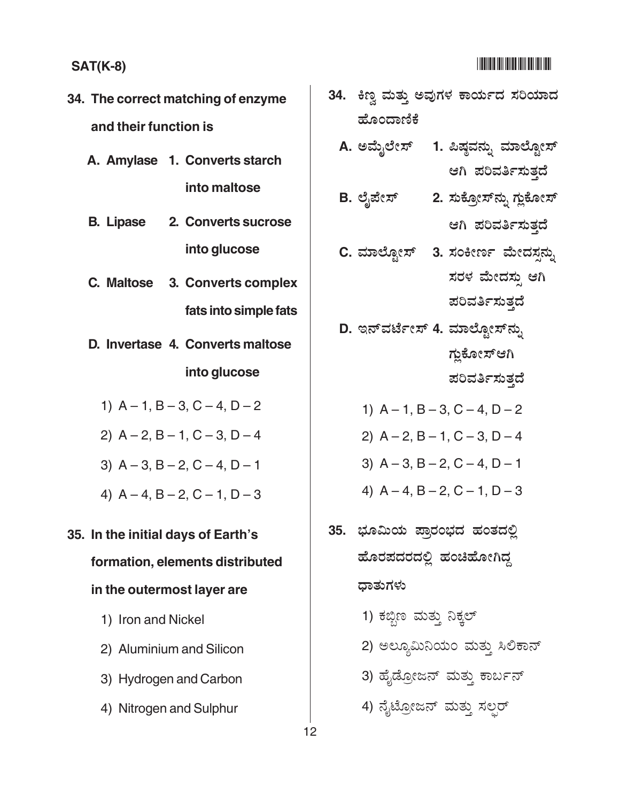- 34. The correct matching of enzyme and their function is
	- A. Amylase 1. Converts starch into maltose
	- **B.** Lipase 2. Converts sucrose into glucose
	- C. Maltose 3. Converts complex fats into simple fats
	- D. Invertase 4. Converts maltose into glucose
		- 1)  $A 1$ ,  $B 3$ ,  $C 4$ ,  $D 2$
		- 2)  $A 2$ ,  $B 1$ ,  $C 3$ ,  $D 4$
		- 3)  $A 3$ ,  $B 2$ ,  $C 4$ ,  $D 1$
		- 4)  $A 4$ ,  $B 2$ ,  $C 1$ ,  $D 3$
- 35. In the initial days of Earth's

#### formation, elements distributed

#### in the outermost layer are

- 1) Iron and Nickel
- 2) Aluminium and Silicon
- 3) Hydrogen and Carbon
- 4) Nitrogen and Sulphur
- 34. ಕಿಣ್ತ ಮತ್ತು ಅವುಗಳ ಕಾರ್ಯದ ಸರಿಯಾದ ಹೊಂದಾಣಿಕೆ
	- A. ಅಮೈಲೇಸ್ 1. ಪಿಷ್ಠವನ್ನು ಮಾಲ್ಟೋಸ್ ಆಗಿ ಪರಿವರ್ತಿಸುತ್ತದೆ
	- B. ಲೈಪೇಸ್ 2. ಸುಕ್ರೋಸ್*ನ್ನು* ಗ್ಲುಕೋಸ್ ಆಗಿ ಪರಿವರ್ತಿಸುತ್ತದೆ
	- C. ಮಾಲ್ಬೋಸ್ 3. ಸಂಕೀರ್ಣ ಮೇದಸ್ಪನ್ನು ಸರಳ ಮೇದಸ್ತು ಆಗಿ

ಪರಿವರ್ತಿಸುತ್ತದೆ

- D. ಇನ್**ವರ್ಟೇಸ್ 4. ಮಾಲ್ಬೋಸ್**ನ್ಸು ಗ್ಲುಕೋಸ್ಆಗಿ
	- ಪರಿವರ್ತಿಸುತ್ತದೆ
	- 1)  $A 1$ ,  $B 3$ ,  $C 4$ ,  $D 2$
	- 2)  $A 2$ ,  $B 1$ ,  $C 3$ ,  $D 4$
	- 3)  $A 3$ ,  $B 2$ ,  $C 4$ ,  $D 1$
	- 4)  $A 4$ ,  $B 2$ ,  $C 1$ ,  $D 3$
- 35. ಭೂಮಿಯ ಪ್ರಾರಂಭದ ಹಂತದಲ್ಲಿ ಹೊರಪದರದಲ್ಲಿ ಹಂಚಿಹೋಗಿದ್ದ ಧಾತುಗಳು
	- 1) ಕಬ್ಬಿಣ ಮತ್ತು ನಿಕ್ಕಲ್
	- 2) ಅಲ್ಯೂಮಿನಿಯಂ ಮತ್ತು ಸಿಲಿಕಾನ್
	- 3) ಹೈಡ್ರೋಜನ್ ಮತ್ತು ಕಾರ್ಬನ್
	- 4) ನೈಟ್ರೋಜನ್ ಮತ್ತು ಸಲ್ಪರ್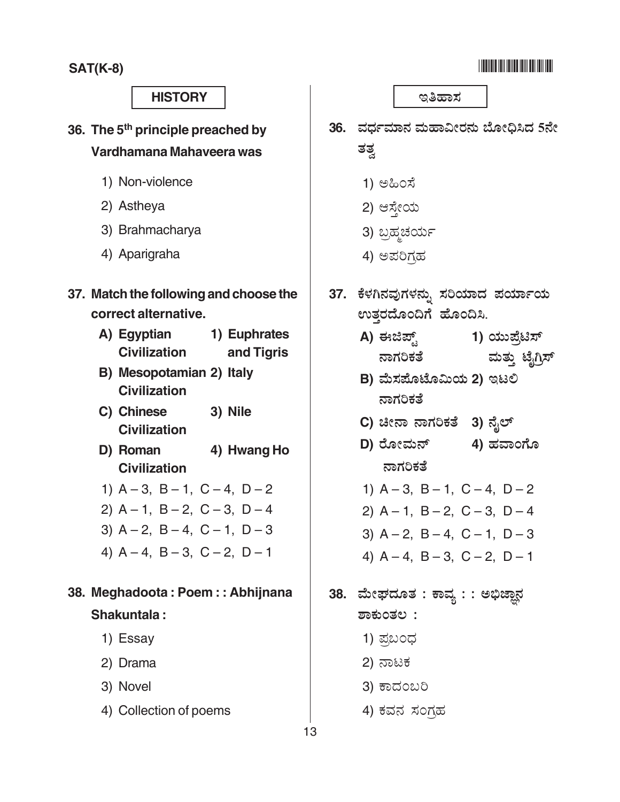#### <u> Alian Andria Mandal</u>

#### **HISTORY**

- 36. The 5<sup>th</sup> principle preached by Vardhamana Mahaveera was
	- 1) Non-violence
	- 2) Astheva
	- 3) Brahmacharya
	- 4) Aparigraha
- 37. Match the following and choose the correct alternative.
	- A) Egyptian 1) Euphrates **Civilization** and Tigris
	- B) Mesopotamian 2) Italy **Civilization**
	- C) Chinese 3) Nile **Civilization**
	- D) Roman 4) Hwang Ho **Civilization**
	- 1)  $A 3$ ,  $B 1$ ,  $C 4$ ,  $D 2$
	- 2)  $A 1$ ,  $B 2$ ,  $C 3$ ,  $D 4$
	- 3)  $A 2$ ,  $B 4$ ,  $C 1$ ,  $D 3$
	- 4)  $A 4$ ,  $B 3$ ,  $C 2$ ,  $D 1$

### 38. Meghadoota: Poem:: Abhijnana Shakuntala:

- 1) Essay
- 2) Drama
- 3) Novel
- 4) Collection of poems

ಇತಿಹಾಸ

- 36. ವರ್ಧಮಾನ ಮಹಾವೀರನು ಬೋಧಿಸಿದ 5ನೇ ತತ್ವ
	- 1) ಅಹಿಂಸೆ
	- 2) ಆಸ್ನೇಯ
	- 3) ಬ್ರಹ್ಮಚರ್ಯ
	- 4) ಅಪರಿಗಹ
- 37. ಕೆಳಗಿನವುಗಳನ್ನು ಸರಿಯಾದ ಪರ್ಯಾಯ ಉತ್ತರದೊಂದಿಗೆ ಹೊಂದಿಸಿ.
	- A) ಈಜಿಪ್ಸ್ 1) ಯುಪ್ಪೆಟಿಸ್ ನಾಗರಿಕತೆ ಮತ್ತು ಟೈಗ್ರಿಸ್
	- B) ಮೆಸಪೊಟೊಮಿಯ 2) ಇಟಲಿ ನಾಗರಿಕತೆ
	- C) ಚೀನಾ ನಾಗರಿಕತೆ 3) ನೈಲ್
	- D) ರೋಮನ್ 4) ಹವಾಂಗೊ ನಾಗರಿಕತೆ
	- 1)  $A 3$ ,  $B 1$ ,  $C 4$ ,  $D 2$
	- 2)  $A 1$ ,  $B 2$ ,  $C 3$ ,  $D 4$
	- 3)  $A 2$ ,  $B 4$ ,  $C 1$ ,  $D 3$
	- 4)  $A 4$ ,  $B 3$ ,  $C 2$ ,  $D 1$
- 38. ಮೇಘದೂತ : ಕಾವ್ಯ : : ಅಭಿಜ್ಞಾನ ಶಾಕುಂತಲ:
	- 1) ಪ್ರಬಂಧ
	- 2) ನಾಟಕ
	- 3) ಕಾದಂಬರಿ
	- 4) ಕವನ ಸಂಗಹ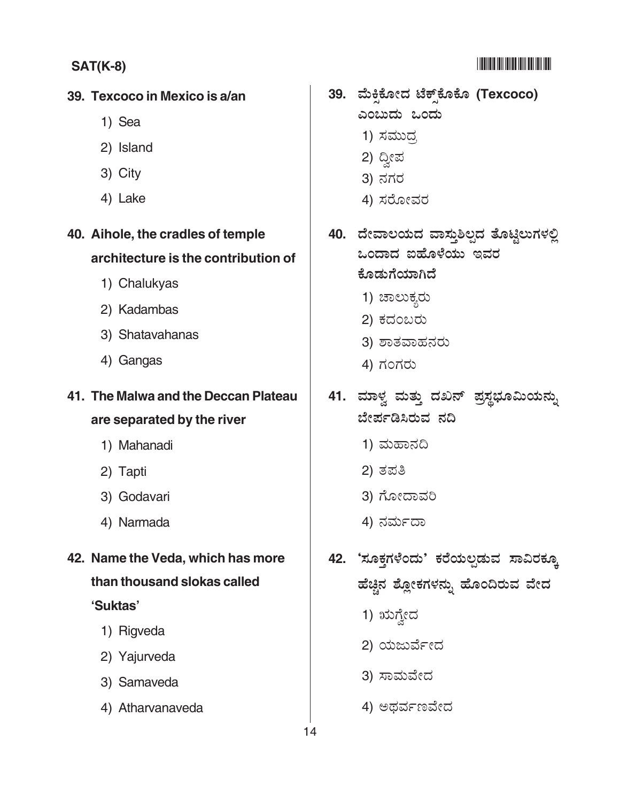#### <u> 1999 - Andrew Maria Barat (</u>

#### **SAT(K-8)**

#### 39. Texcoco in Mexico is a/an

- 1) Sea
- 2) Island
- 3) City
- 4) Lake

### 40. Aihole, the cradles of temple architecture is the contribution of

- 1) Chalukyas
- 2) Kadambas
- 3) Shatavahanas
- 4) Gangas

### 41. The Malwa and the Deccan Plateau

#### are separated by the river

- 1) Mahanadi
- 2) Tapti
- 3) Godavari
- 4) Narmada
- 42. Name the Veda, which has more than thousand slokas called 'Suktas'
	- 1) Rigveda
	- 2) Yajurveda
	- 3) Samaveda
	- 4) Atharvanaveda

### 39. ಮೆಕ್ಸಿಕೋದ ಟೆಕ್ಸ್ಕ್ ಕೊಕೊ (Texcoco) ಎಂಬುದು ಒಂದು

- 
- 1) ಸಮುದ್ರ
- 2) ದ್ವೀಪ
- 3) ನಗರ
- 4) ಸರೋವರ
- 40. ದೇವಾಲಯದ ವಾಸ್ತುಶಿಲ್ಪದ ತೊಟ್ಟಿಲುಗಳಲ್ಲಿ ಒಂದಾದ ಐಹೊಳೆಯು ಇವರ ಕೊಡುಗೆಯಾಗಿದೆ
	- 1) ಚಾಲುಕ್ನರು
	- 2) ಕದಂಬರು
	- 3) ಶಾತವಾಹನರು
	- 4) ಗಂಗರು
- 41. ಮಾಳ್ವ ಮತ್ತು ದಖನ್ ಪ್ರಸ್ಥಭೂಮಿಯನ್ನು ಬೇರ್ಪಡಿಸಿರುವ ನದಿ
	- 1) ಮಹಾನದಿ
	- 2) ತಪತಿ
	- 3) ಗೋದಾವರಿ
	- 4) ನರ್ಮದಾ
- 42. 'ಸೂಕ್ತಗಳೆಂದು' ಕರೆಯಲ್ಪಡುವ ಸಾವಿರಕ್ಕೂ ಹೆಚ್ಚಿನ ಶ್ಲೋಕಗಳನ್ನು ಹೊಂದಿರುವ ವೇದ
	- 1) ಋಗ್ರೇದ
	- 2) ಯಜುರ್ವೇದ
	- 3) ಸಾಮವೇದ
	- 4) ಅಥರ್ವಣವೇದ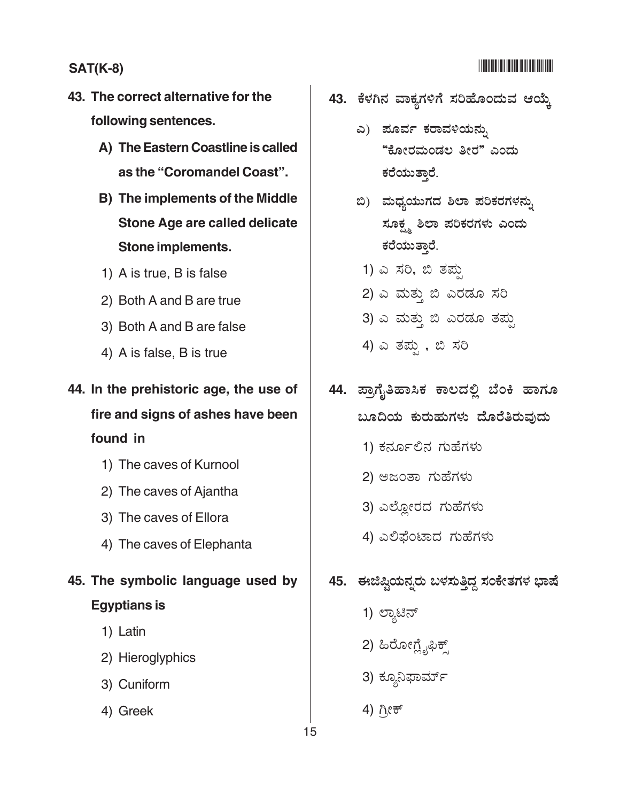### 

#### **SAT(K-8)**

- 43. The correct alternative for the following sentences.
	- A) The Eastern Coastline is called as the "Coromandel Coast".
	- B) The implements of the Middle **Stone Age are called delicate Stone implements.**
	- 1) A is true, B is false
	- 2) Both A and B are true
	- 3) Both A and B are false
	- 4) A is false, B is true
- 44. In the prehistoric age, the use of fire and signs of ashes have been found in
	- 1) The caves of Kurnool
	- 2) The caves of Ajantha
	- 3) The caves of Ellora
	- 4) The caves of Elephanta
- 45. The symbolic language used by **Egyptians is** 
	- 1) Latin
	- 2) Hieroglyphics
	- 3) Cuniform
	- 4) Greek
- 43. ಕೆಳಗಿನ ವಾಕ್ಷಗಳಿಗೆ ಸರಿಹೊಂದುವ ಆಯ್ತೆ
	- ಎ) ಪೂರ್ವ ಕರಾವಳಿಯನ್ನು "ಕೋರಮಂಡಲ ತೀರ" ಎಂದು ಕರೆಯುತ್ತಾರೆ.
	- ಬಿ) ಮಧ್ಯಯುಗದ ಶಿಲಾ ಪರಿಕರಗಳನ್ನು ಸೂಕ್ಷ್ಮ ಶಿಲಾ ಪರಿಕರಗಳು ಎಂದು ಕರೆಯುತ್ತಾರೆ.
		- 1) ಎ ಸರಿ, ಬಿ ತಪ್ಪು
	- 2) ಎ ಮತ್ತು ಬಿ ಎರಡೂ ಸರಿ
	- 3) ಎ ಮತ್ತು ಬಿ ಎರಡೂ ತಪ್ಪು
	- 4) ಎ ತಪ್ಪು, ಬಿ ಸರಿ
- 44. ಪ್ರಾಗೈತಿಹಾಸಿಕ ಕಾಲದಲ್ಲಿ ಬೆಂಕಿ ಹಾಗೂ ಬೂದಿಯ ಕುರುಹುಗಳು ದೊರೆತಿರುವುದು
	- 1) ಕರ್ನೂಲಿನ ಗುಹೆಗಳು
	- 2) ಅಜಂತಾ ಗುಹೆಗಳು
	- 3) ಎಲ್ಲೋರದ ಗುಹೆಗಳು
	- 4) ಎಲಿಫೆಂಟಾದ ಗುಹೆಗಳು

### 45. ಈಜಿಷ್ಷಿಯನ್ನರು ಬಳಸುತ್ತಿದ್ದ ಸಂಕೇತಗಳ ಭಾಷೆ

- 1) ಲ್ಯಾಟಿನ್
- 2) ಹಿರೋಗ್ಲೈಫಿಕ್ಸ್
- 3) ಕ್ಯೂನಿಫಾರ್ಮ್
- 4) ಗ್ರೀಕ್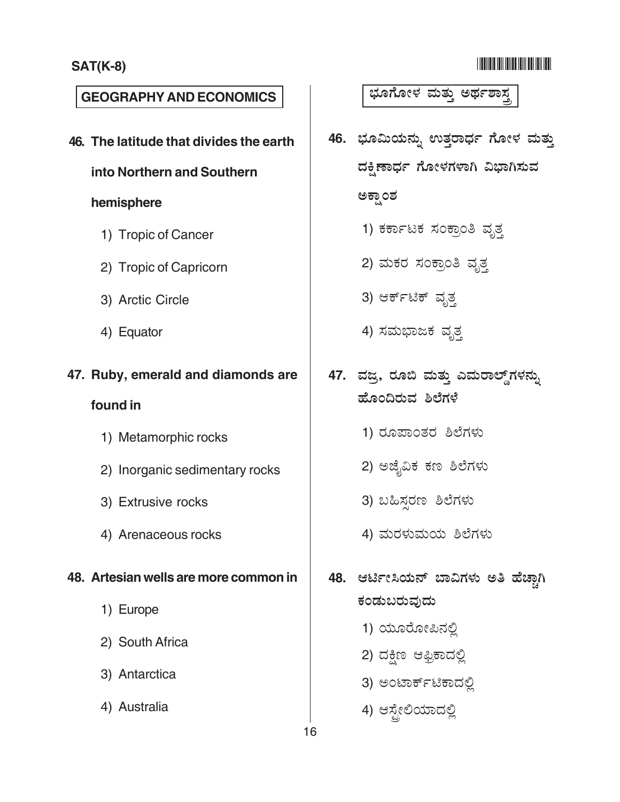#### -

### **GEOGRAPHY AND ECONOMICS** ).\* .& (: ! ,1 7!

**46. The latitude that divides the earth**

#### **into Northern and Southern**

#### **hemisphere**

- 1) Tropic of Cancer
- 2) Tropic of Capricorn
- 3) Arctic Circle
- 4) Equator

#### **47. Ruby, emerald and diamonds are**

#### **found in**

- 1) Metamorphic rocks
- 2) Inorganic sedimentary rocks
- 3) Extrusive rocks
- 4) Arenaceous rocks

#### **48. Artesian wells are more common in**

- 1) Europe
- 2) South Africa
- 3) Antarctica
- 4) Australia

- 46. ಭೂಮಿಯನ್ನು ಉತ್ತರಾರ್ಧ ಗೋಳ ಮತ್ತು ದಕ್ಷಿಣಾರ್ಧ ಗೋಳಗಳಾಗಿ ವಿಭಾಗಿಸುವ ಅಕ್ಷಾಂಶ
	- 1) ಕರ್ಕಾಟಕ ಸಂಕ್ರಾಂತಿ ವೃತ್ತ
	- 2) ಮಕರ ಸಂಕ್ರಾಂತಿ ವೃತ್ತ
	- .<br>3) ಆರ್ಕ್ಟಿಕ್ ವೃತ್ತ
	- 4) ಸಮಭಾಜಕ ವೃ<u>ತ್</u>ತ
- 47. ವಜ್ರ, ರೂಬಿ ಮತ್ತು ಎಮರಾಲ್ಡ್**ಗಳನ್ನು** ಹೊಂದಿರುವ ಶಿಲೆಗಳ<mark>ೆ</mark>
	- 1) ರೂಪಾಂತರ ಶಿಲೆಗಳು
	- 2) ಅಜ್ಬೆವಿಕ ಕಣ ಶಿಲೆಗಳು
	- 3) ಬಹಿಸರಣ ಶಿಲೆಗಳು
	- 4) ಮರಳುಮಯ ಶಿಲೆಗಳು
- 48. ಆರ್ಟೀಸಿಯನ್ ಬಾವಿಗಳು ಅತಿ ಹೆಚ್<mark>ಗಾ</mark>ಗಿ ಕಂಡುಬರುವುದು
	- 1) ಯೂರೋಪಿನಲ್ಲಿ
	- 2) ದಕ್ಷಿಣ ಆಫ್ರಿಕಾದಲ್ಲಿ
	- 3) ಅಂಟಾರ್ಕ್**ಟಿಕಾದ**ಲ್ಲಿ
	- 4) ಆಸ್ಪೇಲಿಯಾದಲ್ಲಿ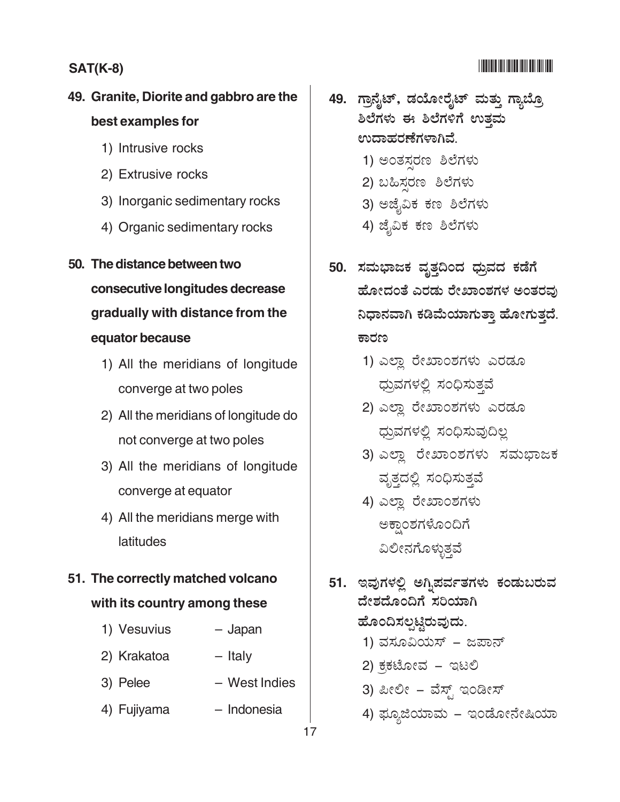#### 

#### **SAT(K-8)**

### 49. Granite, Diorite and gabbro are the best examples for

- 1) Intrusive rocks
- 2) Extrusive rocks
- 3) Inorganic sedimentary rocks
- 4) Organic sedimentary rocks
- 50. The distance between two consecutive longitudes decrease gradually with distance from the equator because
	- 1) All the meridians of longitude converge at two poles
	- 2) All the meridians of longitude do not converge at two poles
	- 3) All the meridians of longitude converge at equator
	- 4) All the meridians merge with latitudes

### 51. The correctly matched volcano with its country among these

- 1) Vesuvius - Japan
- 2) Krakatoa - Italy
- West Indies 3) Pelee
- 4) Fujiyama - Indonesia
- 49. ಗ್ರಾನೈಟ್, ಡಯೋರೈಟ್ ಮತ್ತು ಗ್ಯಾಬ್ರೊ ಶಿಲೆಗಳು ಈ ಶಿಲೆಗಳಿಗೆ ಉತ್ತಮ ಉದಾಹರಣೆಗಳಾಗಿವೆ.
	- 1) ಅಂತಸರಣ ಶಿಲೆಗಳು
	- 2) ಬಹಿಸರಣ ಶಿಲೆಗಳು
	- 3) ಅಜೈವಿಕ ಕಣ ಶಿಲೆಗಳು
	- 4) ಜೈವಿಕ ಕಣ ಶಿಲೆಗಳು
- 50. ಸಮಭಾಜಕ ವೃತ್ತದಿಂದ ಧ್ರುವದ ಕಡೆಗೆ ಹೋದಂತೆ ಎರಡು ರೇಖಾಂಶಗಳ ಅಂತರವು ನಿಧಾನವಾಗಿ ಕಡಿಮೆಯಾಗುತ್ತಾ ಹೋಗುತ್ತದೆ. ಕಾರಣ
	- 1) ಎಲ್ಲಾ ರೇಖಾಂಶಗಳು ಎರಡೂ ಧ್ರುವಗಳಲ್ಲಿ ಸಂಧಿಸುತ್ತವೆ
	- 2) ಎಲ್ಲಾ ರೇಖಾಂಶಗಳು ಎರಡೂ ಧ್ರುವಗಳಲ್ಲಿ ಸಂಧಿಸುವುದಿಲ್ಲ
	- 3) ಎಲ್ಲಾ ರೇಖಾಂಶಗಳು ಸಮಭಾಜಕ ವೃತ್ತದಲ್ಲಿ ಸಂಧಿಸುತ್ತವೆ
	- 4) ಎಲ್ಲಾ ರೇಖಾಂಶಗಳು ಅಕ್ಷಾಂಶಗಳೊಂದಿಗೆ ವಿಲೀನಗೊಳ್ಳುತ್ತವೆ
- 51. ಇವುಗಳಲ್ಲಿ ಅಗ್ನಿಪರ್ವತಗಳು ಕಂಡುಬರುವ ದೇಶದೊಂದಿಗೆ ಸರಿಯಾಗಿ ಹೊಂದಿಸಲ್ಪಟ್ಟಿರುವುದು.
	- 1) ವಸೂವಿಯಸ್ ಜಪಾನ್
	- 2) ಕ್ರಕಟೋವ ಇಟಲಿ
	- 3) ಪೀಲೀ ವೆಸ್ಟ್ ಇಂಡೀಸ್
	- 4) ಫ್ಯೂಜಿಯಾಮ ಇಂಡೋನೇಷಿಯಾ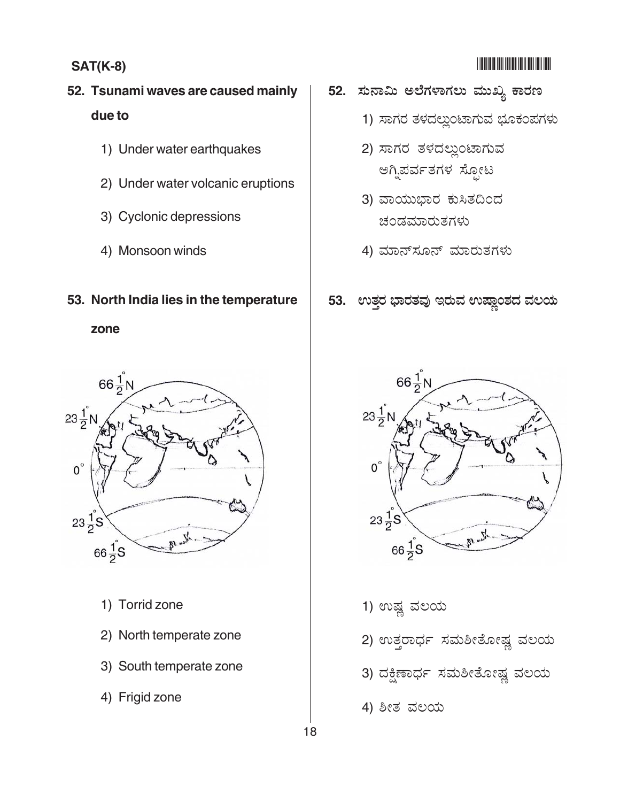### **52. Tsunami waves are caused mainly due to**

- 1) Under water earthquakes
- 2) Under water volcanic eruptions
- 3) Cyclonic depressions
- 4) Monsoon winds

#### **53. North India lies in the temperature**

**zone**



- 1) Torrid zone
- 2) North temperate zone
- 3) South temperate zone
- 4) Frigid zone

# -

- 52. ಸುನಾಮಿ ಅಲೆಗಳಾಗಲು ಮುಖ್ಯ ಕಾರಣ
	- 1) ಸಾಗರ ತಳದಲ್ಲುಂಟಾಗುವ ಭೂಕಂಪಗಳು
	- 2) ಸಾಗರ ತಳದಲ್ಲುಂಟಾಗುವ ಅಗ್ನಿಪರ್ವತಗಳ ಸೋಟ
	- 3) ವಾಯುಭಾರ ಕುಸಿತದಿಂದ ಚಂಡಮಾರುತಗಳು
	- .<br>4) ಮಾನ್ಸೂನ್ ಮಾರುತಗಳು

#### 53. ಉತ್ತರ ಭಾರತವು ಇರುವ ಉಷ್ಣಾಂಶದ ವಲಯ



- 1) ಉಷ್ಣ ವಲಯ
- 2) ಉತ್ತರಾರ್ಧ ಸಮಶೀತೋಷ್<mark>ಷ</mark> ವಲಯ
- 3) ದಕ್ಷಿಣಾರ್ಧ ಸಮಶೀತೋಷ್<mark>ಷ</mark> ವಲಯ
- 4) ಶೀತ ವಲಯ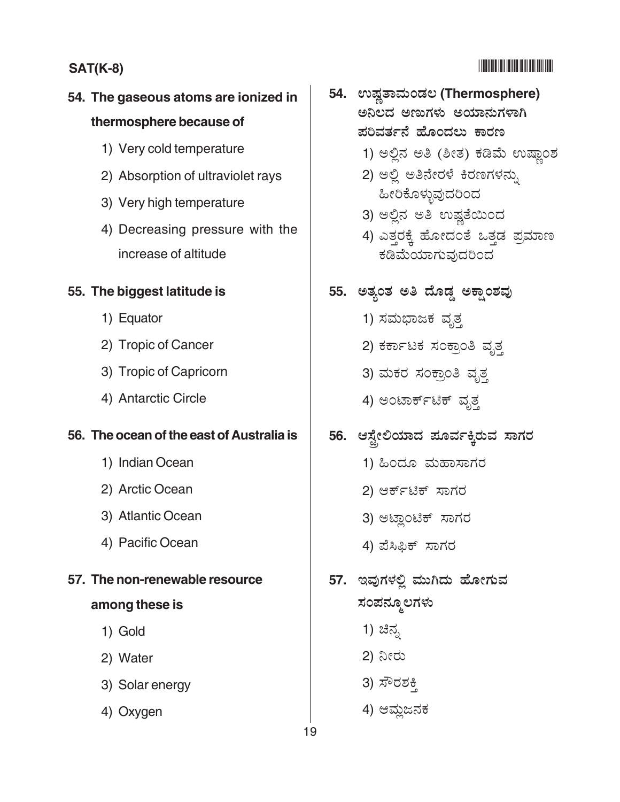### -

### **SAT(K-8)** -

## **54. The gaseous atoms are ionized in thermosphere because of**

- 1) Very cold temperature
- 2) Absorption of ultraviolet rays
- 3) Very high temperature
- 4) Decreasing pressure with the increase of altitude

#### **55. The biggest latitude is**

- 1) Equator
- 2) Tropic of Cancer
- 3) Tropic of Capricorn
- 4) Antarctic Circle

#### **56. The ocean of the east of Australia is**

- 1) Indian Ocean
- 2) Arctic Ocean
- 3) Atlantic Ocean
- 4) Pacific Ocean

#### **57. The non-renewable resource**

#### **among these is**

- 1) Gold
- 2) Water
- 3) Solar energy
- 4) Oxygen
- $54.$  ಉಷ್ಣತಾಮಂಡಲ (Thermosphere) ಅನಿಲದ ಅಣುಗಳು ಅಯಾನುಗಳಾಗಿ ಪರಿವರ್ತನೆ ಹೊಂದಲು ಕಾರಣ
	- 1) ಅಲ್ಲಿನ ಅತಿ (ಶೀತ) ಕಡಿಮೆ ಉಷ್ಣಾಂಶ
	- 2) ಅಲ್ಲಿ ಅತಿನೇರಳೆ ಕಿರಣಗಳನ್ನು . . . .<br>ಹೀರಿಕೊಳುವುದರಿಂದ
	- 3) ಅಲ್ಲಿನ ಅತಿ ಉಷ್ಣತೆಯಿಂದ
	- .<br>4) ಎತ್ತರಕ್ಕೆ ಹೋದಂತೆ ಒತ್ತಡ ಪ್ರಮಾಣ – – .<br>ಕಡಿಮೆಯಾಗುವ1ದರಿಂದ

### 55. ಅತ್ಯಂತ ಅತಿ ದೊಡ್ಡ ಅಕ್ಷಾಂಶವು

- 1) ಸಮಭಾಜಕ ವೃತ್ತ
- 2) ಕರ್ಕಾಟಕ ಸಂಕ್ರಾಂತಿ ವೃತ್ತ
- 3) ಮಕರ ಸಂಕ್ರಾಂತಿ ವೃತ್ತ
- 4) ಅಂಟಾರ್ಕ್ಟಿಕ್ ವೃತ<mark>್</mark>

### 56. ಆಸ್ಟೇಲಿಯಾದ ಪೂರ್ವಕ್ಕಿರುವ ಸಾಗರ

- 1) ಹಿಂದೂ ಮಹಾಸಾಗರ
- 2) ಆರ್ಕ್ಟಿಕ್ ಸ<mark>ಾ</mark>ಗರ
- 3) ಅಟ್<mark>ಲಾಂ</mark>ಟಿಕ್ ಸಾಗರ
- 4) ಪೆಸಿಫಿಕ್ ಸಾಗರ
- 57. ಇವುಗಳಲ್ಲಿ ಮುಗಿದು ಹೋಗುವ ಸಂಪನ್ಮೂಲಗಳು
	- 1) ಚಿನ್ನ
	- 2) ನೀರು
	- 3)  $\vec{x}$ <sup>o</sup> $\vec{o}$   $\vec{c}$
	- 4) ಆಮ್ಲಜನಕ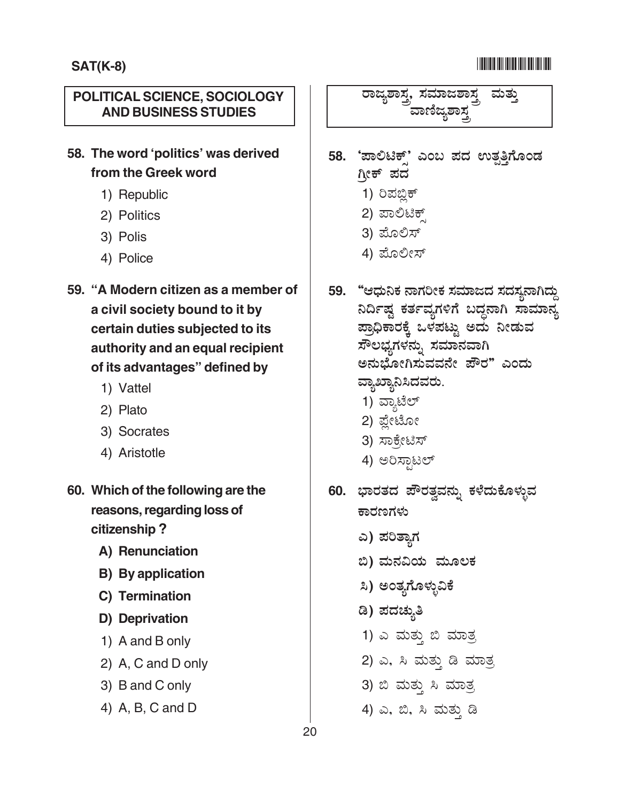#### POLITICAL SCIENCE, SOCIOLOGY **AND BUSINESS STUDIES**

58. The word 'politics' was derived from the Greek word

- 1) Republic
- 2) Politics
- 3) Polis
- 4) Police
- 59. "A Modern citizen as a member of a civil society bound to it by certain duties subjected to its authority and an equal recipient of its advantages" defined by
	- 1) Vattel
	- 2) Plato
	- 3) Socrates
	- 4) Aristotle
- 60. Which of the following are the reasons, regarding loss of citizenship?
	- A) Renunciation
	- **B)** By application
	- C) Termination
	- D) Deprivation
	- 1) A and B only
	- 2) A, C and D only
	- 3) B and C only
	- 4) A, B, C and D

ರಾಜ್ಯಶಾಸ್ತ್ರ ಸಮಾಜಶಾಸ ಮತು

- 58. 'ಪಾಲಿಟಿಕ್' ಎಂಬ ಪದ ಉತ್ಪತ್ತಿಗೊಂಡ ಗ್ತೀಕ್ ಪದ
	- 1) ರಿಪಬ್ಲಿಕ್
	- 2) ಪಾಲಿಟಿಕ್
	- 3) ಮೊಲಿಸ್
	- 4) ಮೊಲೀಸ್
- 59. "ಆಧುನಿಕ ನಾಗರೀಕ ಸಮಾಜದ ಸದಸ್ಯನಾಗಿದ್ದು ನಿರ್ದಿಷ್ಟ ಕರ್ತವ್ಯಗಳಿಗೆ ಬದ್ಧನಾಗಿ ಸಾಮಾನ್ಯ ಪ್ರಾಧಿಕಾರಕ್ಕೆ ಒಳಪಟ್ಟು ಅದು ನೀಡುವ ಸೌಲಭ್ಯಗಳನ್ನು ಸಮಾನವಾಗಿ ಅನುಭೋಗಿಸುವವನೇ ಪೌರ" ಎಂದು ವ್ಯಾಖ್ಯಾನಿಸಿದವರು.
	- 1) ವ್ಯಾಟೆಲ್
	- 2) ಪ್ಲೇಟೋ
	- 3) ಸಾಕ್ಸೇಟಿಸ್
	- 4) ಅರಿಸ್ಪಾಟಲ್
- 60. ಭಾರತದ ಪೌರತ್ವವನ್ನು ಕಳೆದುಕೊಳ್ಳುವ ಕಾರಣಗಳು
	- ಎ) ಪರಿತ್ಯಾಗ
	- ಬಿ) ಮನವಿಯ ಮೂಲಕ
	- ಸಿ) ಅಂತ್ಯಗೊಳ್ಳುವಿಕೆ
	- ಡಿ) ಪದಚ್ನುತಿ
	- 1) ಎ ಮತ್ತು ಬಿ ಮಾತ್ರ
	- 2) ಎ, ಸಿ ಮತ್ತು ಡಿ ಮಾತ್ರ
	- 3) ಬಿ ಮತ್ತು ಸಿ ಮಾತ್ರ
	- 4) ಎ, ಬಿ, ಸಿ ಮತ್ತು ಡಿ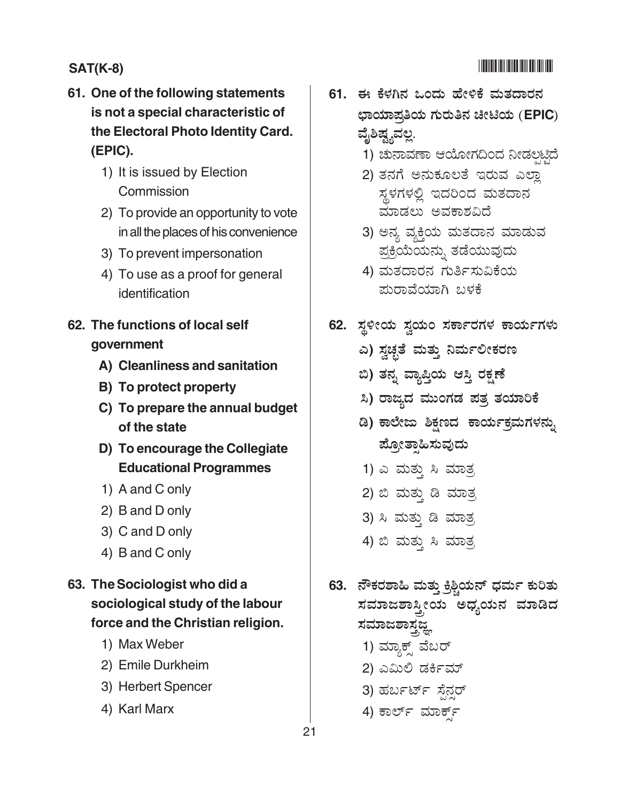### -

### **SAT(K-8)** -

- **61. One of the following statements is not a special characteristic of the Electoral Photo Identity Card. (EPIC).**
	- 1) It is issued by Election **Commission**
	- 2) To provide an opportunity to vote in all the places of his convenience
	- 3) To prevent impersonation
	- 4) To use as a proof for general identification
- **62. The functions of local self government**
	- **A) Cleanliness and sanitation**
	- **B) To protect property**
	- **C) To prepare the annual budget of the state**
	- **D) To encourage the Collegiate Educational Programmes**
	- 1) A and C only
	- 2) B and D only
	- 3) C and D only
	- 4) B and C only
- **63. The Sociologist who did a sociological study of the labour force and the Christian religion.**
	- 1) Max Weber
	- 2) Emile Durkheim
	- 3) Herbert Spencer
	- 4) Karl Marx
- 61. ಈ ಕೆಳಗಿನ ಒಂದು ಹೇಳಿಕೆ ಮತದಾರನ ಛಾಯಾಪ್ರತಿಯ ಗುರುತಿನ ಚೀಟಿಯ (EPIC) ವೈಶಿಷ್ಟ್ಯವಲ್ಲ.
	- .<br>1) ಚುನಾವಣಾ ಆಯೋಗದಿಂದ ನೀಡಲಟ್ಟಿದೆ
	- .<br>2) ತನಗೆ ಅನುಕೂಲತೆ ಇರುವ ಎಲ್ಲಾ ಸ್ಥಳಗಳಲ್ಲಿ ಇದರಿಂದ ಮತದಾನ ಮಾಡಲು ಅವಕಾಶವಿದೆ
	- 3) ಅನ್ಯ ವ್ಯಕ್ತಿಯ ಮತದಾನ ಮಾಡುವ ಪಕಿಯೆಯನು. ತಡೆಯುವುದು
	- .<br>4) ಮತದಾರನ ಗುರ್ತಿಸುವಿಕೆಯ <sub>ಮರಾವೆಯಾಗಿ ಬಳಕೆ</sub>
- 62. ಸ್ಥಳೀಯ ಸ್ವಯಂ ಸರ್ಕಾರಗಳ ಕಾರ್ಯಗಳು
	- ಎ) ಸ್ವಚ್ಛತೆ ಮತ್ತು ನಿರ್ಮ**ಲೀಕರ**ಣ
	- ಬಿ) ತನ್ನ ವ್ಯಾಪ್ತಿಯ ಆಸ್ತಿ ರಕ್ಷಣೆ
	- ಸಿ) ರಾಜ್ಯದ ಮುಂಗಡ ಪತ್ರ ತಯಾರಿಕೆ
	- ಡಿ) ಕಾಲೇಜು ಶಿಕ್ಷಣದ ಕಾರ್ಯಕ್ರಮಗಳನ್ನು ಪೋತಾಹಿಸುವುದು
	- $1)$  ಎ ಮತ್ತು ಸಿ ಮಾತ್ರ
	- 2) ಬಿ ಮತ್ತು ಡಿ ಮಾತ್ರ
	- 3) ಸಿ ಮತ್ತು ಡಿ ಮಾತ್<u>ಸ</u>
	- 4) ಬಿ ಮತ್ತು ಸಿ ಮಾತ್ರ
- 63. ನೌಕರಶಾಹಿ ಮತ್ತು ಕ್ರಿಶ್ಚಿಯನ್ ಧರ್ಮ ಕುರಿತು ಸಮಾಜಶಾಸ್ತ್ರೀಯ ಅಧ್ಯಯನ ಮಾಡಿದ ಸಮಾಜಶಾಸ್ತ್ರಜ್ಞ
	- 1) ಮ್ಯಾಕ್ ವೆಬರ್
	- 2) ಎಮಿಲಿ ಡರ್ಕಿಮ್ ׇׇׇ֦֡
	- 3) ಹರ್ಬರ್ಟ್ ಸೆನರ್
	- 4) ಕಾರ್ಲ್ ಮಾರ್ಕ್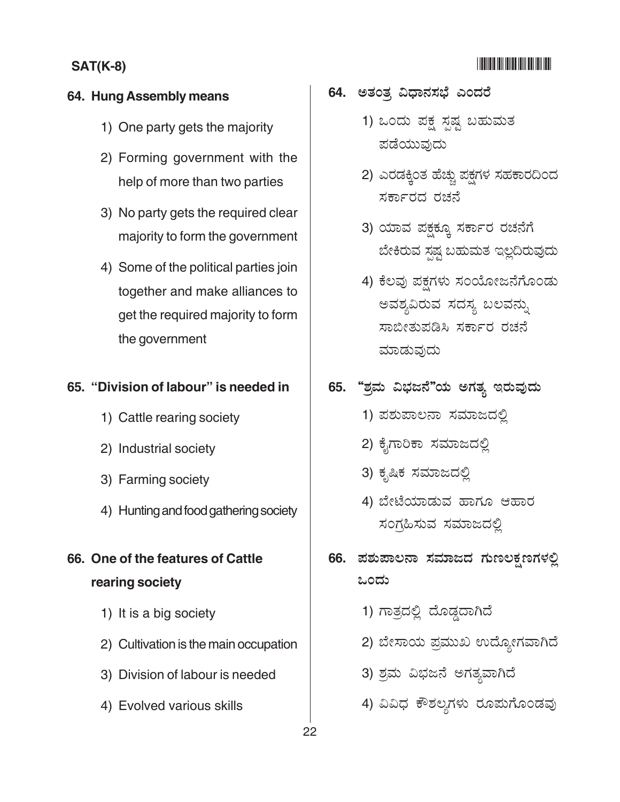#### <u> IIIIIIIIIIIIIIIIIIIIIIIII</u>

#### **SAT(K-8)**

#### 64. Hung Assembly means

- 1) One party gets the majority
- 2) Forming government with the help of more than two parties
- 3) No party gets the required clear majority to form the government
- 4) Some of the political parties join together and make alliances to get the required majority to form the government

#### 65. "Division of labour" is needed in

- 1) Cattle rearing society
- 2) Industrial society
- 3) Farming society
- 4) Hunting and food gathering society
- 66. One of the features of Cattle rearing society
	- 1) It is a big society
	- 2) Cultivation is the main occupation
	- 3) Division of labour is needed
	- 4) Evolved various skills
- 64. ಅತಂತ್ರ ವಿಧಾನಸಭೆ ಎಂದರೆ
	- 1) ಒಂದು ಪಕ್ಷ ಸ್ಪಷ್ಟ ಬಹುಮತ ಪಡೆಯುವುದು
	- 2) ಎರಡಕ್ಕಿಂತ ಹೆಚ್ಚು ಪಕ್ಷಗಳ ಸಹಕಾರದಿಂದ ಸರ್ಕಾರದ ರಚನೆ
	- 3) ಯಾವ ಪಕ್ಷಕ್ಕೂ ಸರ್ಕಾರ ರಚನೆಗೆ ಬೇಕಿರುವ ಸ್ಪಷ್ಟ ಬಹುಮತ ಇಲ್ಲದಿರುವುದು
	- 4) ಕೆಲವು ಪಕ್ಷಗಳು ಸಂಯೋಜನೆಗೊಂಡು ಅವಶ್ಯವಿರುವ ಸದಸ್ಯ ಬಲವನ್ನು ಸಾಬೀತುಪಡಿಸಿ ಸರ್ಕಾರ ರಚನೆ ಮಾಡುವುದು
- 65. "ಶ್ರಮ ವಿಭಜನೆ"ಯ ಅಗತ್ಯ ಇರುವುದು
	- 1) ಪಶುಪಾಲನಾ ಸಮಾಜದಲ್ಲಿ
	- 2) ಕೈಗಾರಿಕಾ ಸಮಾಜದಲ್ಲಿ
	- 3) ಕೃಷಿಕ ಸಮಾಜದಲ್ಲಿ
	- 4) ಬೇಟೆಯಾಡುವ ಹಾಗೂ ಆಹಾರ ಸಂಗ್ರಹಿಸುವ ಸಮಾಜದಲ್ಲಿ
- 66. ಪಶುಪಾಲನಾ ಸಮಾಜದ ಗುಣಲಕ್ಷಣಗಳಲ್ಲಿ ಒಂದು
	- 1) ಗಾತ್ರದಲ್ಲಿ ದೊಡ್ಡದಾಗಿದೆ
	- 2) ಬೇಸಾಯ ಪ್ರಮುಖ ಉದ್ಯೋಗವಾಗಿದೆ
	- 3) ಶ್ರಮ ವಿಭಜನೆ ಅಗತ್ಯವಾಗಿದೆ
	- 4) ವಿವಿಧ ಕೌಶಲ್ಯಗಳು ರೂಮಗೊಂಡವು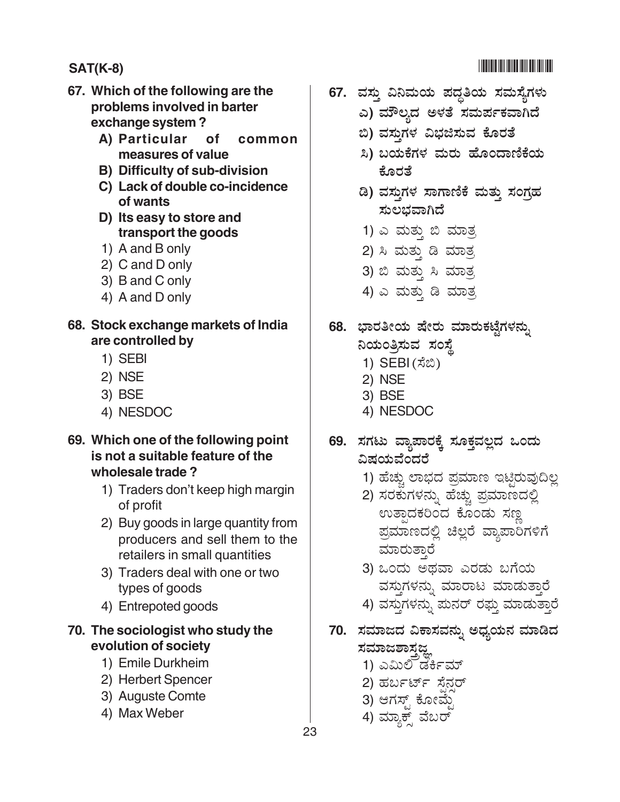### 

#### **SAT(K-8)**

- 67. Which of the following are the problems involved in barter exchange system?
	- A) Particular **of** common measures of value
	- B) Difficulty of sub-division
	- C) Lack of double co-incidence of wants
	- D) Its easy to store and transport the goods
	- 1) A and B only
	- 2) C and D only
	- 3) B and C only
	- 4) A and D only
- 68. Stock exchange markets of India are controlled by
	- 1) SEBI
	- 2) NSE
	- 3) BSE
	- 4) NESDOC
- 69. Which one of the following point is not a suitable feature of the wholesale trade?
	- 1) Traders don't keep high margin of profit
	- 2) Buy goods in large quantity from producers and sell them to the retailers in small quantities
	- 3) Traders deal with one or two types of goods
	- 4) Entrepoted goods

#### 70. The sociologist who study the evolution of society

- 1) Emile Durkheim
- 2) Herbert Spencer
- 3) Auguste Comte
- 4) Max Weber
- 67. ವಸ್ತು ವಿನಿಮಯ ಪದ್ಧತಿಯ ಸಮಸ್ಯೆಗಳು
	- ಎ) ಮೌಲ್ನದ ಅಳತೆ ಸಮರ್ಪಕವಾಗಿದೆ
	- ಬಿ) ವಸ್ತುಗಳ ವಿಭಜಿಸುವ ಕೊರತೆ
	- ಸಿ) ಬಯಕೆಗಳ ಮರು ಹೊಂದಾಣಿಕೆಯ ಕೊರತೆ
	- ಡಿ) ವಸ್ತುಗಳ ಸಾಗಾಣಿಕೆ ಮತ್ತು ಸಂಗ್ರಹ ಸುಲಭವಾಗಿದೆ
	- 1) ಎ ಮತ್ತು ಬಿ ಮಾತ್ರ
	- 2) ಸಿ ಮತ್ತು ಡಿ ಮಾತ್ರ
	- 3) ಬಿ ಮತ್ತು ಸಿ ಮಾತ್<u>ರ</u>
	- 4) ಎ ಮತ್ತು ಡಿ ಮಾತ್ರ
- 68. ಭಾರತೀಯ ಷೇರು ಮಾರುಕಟ್ಟೆಗಳನ್ನು
	- ನಿಯಂತ್ರಿಸುವ ಸಂಸ್ಥೆ
	- 1) SEBI (ಸೆಬಿ)
	- 2) NSE
	- 3) BSE
	- 4) NESDOC
- 69. ಸಗಟು ವ್ಯಾಪಾರಕ್ಕೆ ಸೂಕ್ತವಲ್ಲದ ಒಂದು ವಿಷಯವೆಂದರೆ
	- 1) ಹೆಚ್ಚು ಲಾಭದ ಪ್ರಮಾಣ ಇಟ್ಟಿರುವುದಿಲ್ಲ
	- 2) ಸರಕುಗಳನ್ನು ಹೆಚ್ಚು ಪ್ರಮಾಣದಲ್ಲಿ ಉತ್ಪಾದಕರಿಂದ ಕೊಂಡು ಸಣ್ಣ ಪ್ರಮಾಣದಲ್ಲಿ ಚಿಲ್ಲರೆ ವ್ಯಾಪಾರಿಗಳಿಗೆ ಮಾರುತಾರೆ
	- 3) ಒಂದು ಅಥವಾ ಎರಡು ಬಗೆಯ ವಸ್ತುಗಳನ್ನು ಮಾರಾಟ ಮಾಡುತ್ತಾರೆ
	- 4) ವಸ್ತುಗಳನ್ನು ಮನರ್ ರಫ್ತು ಮಾಡುತ್ತಾರೆ
- 70. ಸಮಾಜದ ವಿಕಾಸವನ್ನು ಅಧ್ಯಯನ ಮಾಡಿದ ಸಮಾಜಶಾಸಜ್
	- 1) ಎಮಿಲಿ ಡರ್ಕಿಮ್
	- 2) ಹರ್ಬರ್ಟ್ ಸೆನರ್
	- 3) ಆಗಸ್ಟ್ ಕೋಮ್ಜೆ
	- 4) ಮ್ಯಾಕ್ಸ್ ವೆಬರ್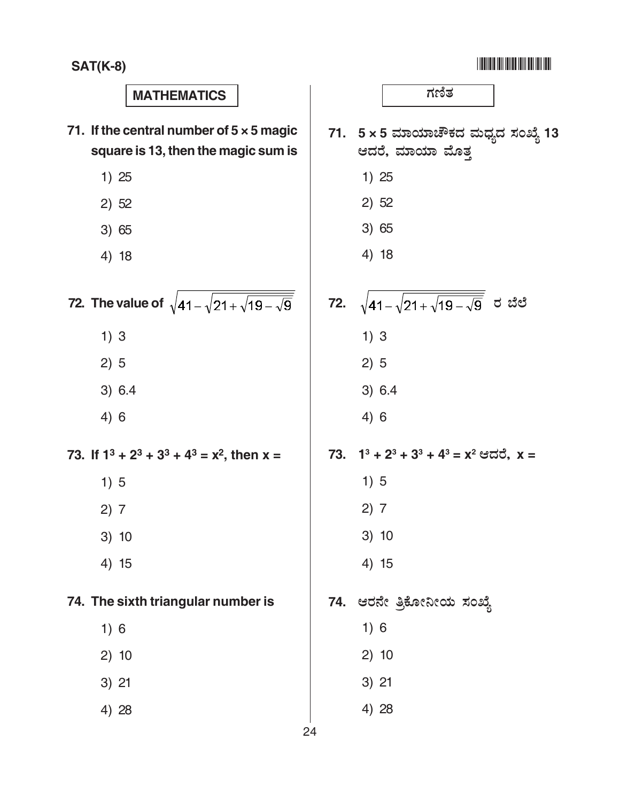| <b>MATHEMATICS</b>                                                                     | ಗಣಿತ                                                   |
|----------------------------------------------------------------------------------------|--------------------------------------------------------|
| 71. If the central number of $5 \times 5$ magic<br>square is 13, then the magic sum is | 71. 5 x 5 ಮಾಯಾಚೌಕದ ಮಧ್ಯದ ಸಂಖ್ಯೆ 13<br>ಆದರೆ, ಮಾಯಾ ಮೊತ್ತ |
| 1)25                                                                                   | 1)25                                                   |
| 2) 52                                                                                  | 2) 52                                                  |
| 3) 65                                                                                  | 3) 65                                                  |
| 4) 18                                                                                  | 4) 18                                                  |
| 72. The value of $\sqrt{41-\sqrt{21+\sqrt{19-\sqrt{9}}}}$                              | 72. $\sqrt{41-\sqrt{21+\sqrt{19-\sqrt{9}}}}$ ರ ಬೆಲೆ    |
| 1)3                                                                                    | 1)3                                                    |
| 2)5                                                                                    | 2)5                                                    |
| 3) 6.4                                                                                 | 3) 6.4                                                 |
| 4)6                                                                                    | 4)6                                                    |
| 73. If $1^3$ + $2^3$ + $3^3$ + $4^3$ = $x^2$ , then x =                                | 73. $1^3 + 2^3 + 3^3 + 4^3 = x^2$ ಆದರೆ, $x =$          |
| 1)5                                                                                    | 1)5                                                    |
| 2) 7                                                                                   | 2) 7                                                   |
| 3) 10                                                                                  | 3) 10                                                  |
| 4) 15                                                                                  | 4) 15                                                  |
| 74. The sixth triangular number is                                                     | 74. ಆರನೇ ತ್ರಿಕೋನೀಯ ಸಂಖ್ಯೆ                              |
| 1)6                                                                                    | 1)6                                                    |
| 2)10                                                                                   | 2)10                                                   |
| $3)$ 21                                                                                | $3)$ 21                                                |
| 4) 28                                                                                  | 4) 28                                                  |
| 24                                                                                     |                                                        |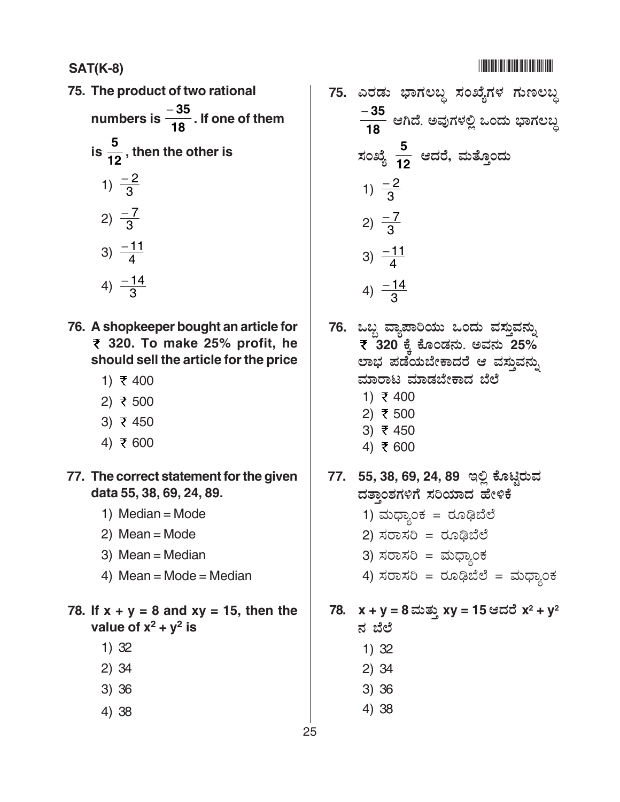**SAT(K-8)** -

**75. The product of two rational** numbers is  $\frac{8}{18}$ <sup>−</sup> **<sup>35</sup> . If one of them** is  $\frac{6}{12}$ **<sup>5</sup> , then the other is** 1)  $\frac{-2}{3}$ 2)  $\frac{-7}{3}$ 3)  $\frac{-11}{4}$ 4)  $\frac{-14}{3}$ 

- **76. A shopkeeper bought an article for 320. To make 25% profit, he should sell the article for the price**
	- 1)  $\overline{z}$  400
	- 2) ₹ 500
	- 3)  $\bar{\tau}$  450
	- 4) ₹ 600

**77. The correct statement for the given data 55, 38, 69, 24, 89.**

- 1) Median = Mode
- 2) Mean = Mode
- 3) Mean = Median
- 4) Mean = Mode = Median

**78. If x + y = 8 and xy = 15, then the** value of  $x^2 + y^2$  is

- 1) 32
- 2) 34
- 3) 36
- 4) 38

75. ಎರಡು ಭಾಗಲಬ್ಧ ಸಂಖ್ಯೆಗಳ ಗುಣಲಬ್ದ **18** − **35** ಆಗಿದೆ. ಅವುಗಳಲ್ಲಿ ಒಂದು ಭಾಗಲಬ್ದ ಸಂಖ್ಯೆ <del>⊣</del>2 **5** ಆದರೆ, ಮತ್ತೊಂದು 1)  $\frac{-2}{3}$ 2)  $\frac{-7}{3}$ 3)  $\frac{-11}{4}$ 4)  $\frac{-14}{3}$ 

76. ಒಬ್ಬ ವ್ಯಾಪಾರಿಯು ಒಂದು ವಸ್ತುವನ್ನು **₹ 320 ಕ್ಕೆ ಕೊಂಡನು. ಅವನು 25%** ಲಾಭ ಪಡೆಯಬೇಕಾದರೆ ಆ ವಸ್ತುವನ್ನು ಮಾರಾಟ ಮಾಡಬೇಕಾದ ಬೆಲೆ

- 1) ₹ 400
- 2) ₹ 500
- 3)  $\bar{x}$  450 4) ₹ 600

77. 55, 38, 69, 24, 89 ಇಲ್ಲಿ ಕೊಟ್ಟಿರುವ ದತ್ತಾಂಶಗಳಿಗೆ ಸರಿಯಾದ ಹೇಳಿಕೆ

- 1) ಮಧ್ಯಾಂಕ $=$  ರೂಢಿಬೆಲೆ
- 2) ಸರಾಸರಿ = ರೂಢಿಬೆಲೆ
- 3) ಸರಾಸರಿ = ಮಧ್ಯಾಂಕ
- 4) ಸರಾಸರಿ = ರೂಢಿಬೆಲೆ = ಮಧ್ಯಾಂಕ

#### **78. x + y = 8**  !**xy = 15** H-**x2 + y2** ನ ಬೆಲೆ

- 1) 32
- 2) 34
- 3) 36
- 4) 38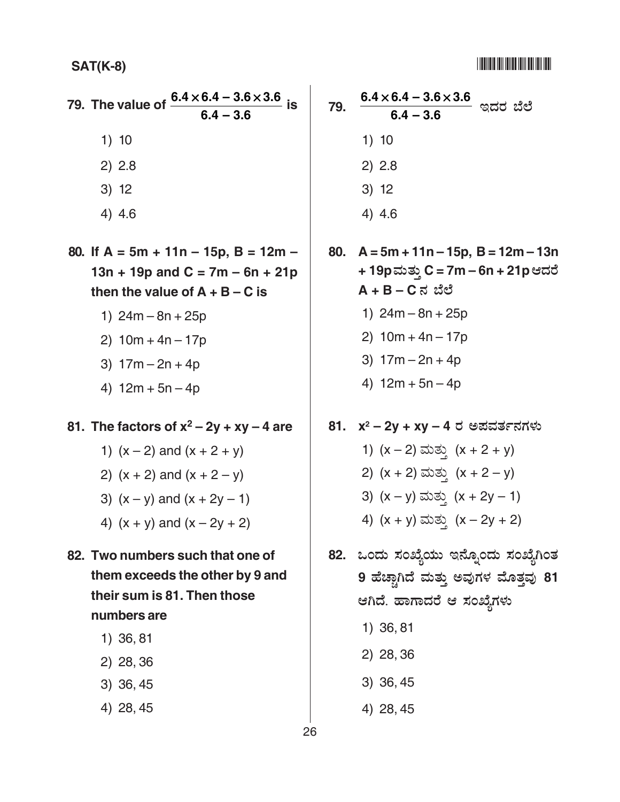#### <u>HTML HHML HHML HA</u>

#### **SAT(K-8)**

|        | 79. The value of $\frac{6.4 \times 6.4 - 3.6 \times 3.6}{6}$ is |
|--------|-----------------------------------------------------------------|
|        | $6.4 - 3.6$                                                     |
| 1)10   |                                                                 |
| 2) 2.8 |                                                                 |
| 3) 12  |                                                                 |
| 4) 4.6 |                                                                 |
|        | 80. If $A = 5m + 11n - 15p$ , $B = 12m -$                       |

- $13n + 19p$  and  $C = 7m 6n + 21p$ then the value of  $A + B - C$  is
	- 1)  $24m 8n + 25p$
	- 2)  $10m + 4n 17p$
	- 3)  $17m 2n + 4p$
	- 4)  $12m + 5n 4p$

### 81. The factors of  $x^2 - 2y + xy - 4$  are

- 1)  $(x 2)$  and  $(x + 2 + y)$
- 2)  $(x + 2)$  and  $(x + 2 y)$
- 3)  $(x y)$  and  $(x + 2y 1)$
- 4)  $(x + y)$  and  $(x 2y + 2)$
- 82. Two numbers such that one of them exceeds the other by 9 and their sum is 81. Then those numbers are
	- 1) 36, 81
	- 2) 28, 36
	- 3) 36, 45
	- 4) 28, 45
- $6.4 \times 6.4 3.6 \times 3.6$ 79. ಇದರ ಬೆಲೆ  $64 - 36$  $1) 10$  $2) 2.8$  $3) 12$  $4)4.6$
- 80.  $A = 5m + 11n - 15p$ ,  $B = 12m - 13n$ + 19p ಮತ್ತು C = 7m – 6n + 21p ಆದರೆ  $A + B - C$ ನ ಬೆಲೆ 1)  $24m - 8n + 25p$ 2)  $10m + 4n - 17p$ 3)  $17m - 2n + 4p$ 
	- 4)  $12m + 5n 4p$
- 81. x<sup>2</sup> 2y + xy 4 ರ ಅಪವರ್ತನಗಳು 1)  $(x - 2)$  ಮತ್ತು  $(x + 2 + y)$ 2)  $(x + 2)$  ಮತ್ತು  $(x + 2 - y)$ 3)  $(x - y)$  ಮತ್ತು  $(x + 2y - 1)$ 4)  $(x + y)$  ಮತ್ತು  $(x - 2y + 2)$
- 82. ಒಂದು ಸಂಖ್ಯೆಯು ಇನ್ನೊಂದು ಸಂಖ್ಯೆಗಿಂತ 9 ಹೆಚ್ಚಾಗಿದೆ ಮತ್ತು ಅವುಗಳ ಮೊತ್ತವು 81 ಆಗಿದೆ. ಹಾಗಾದರೆ ಆ ಸಂಖ್ಯೆಗಳು
	- 1) 36, 81
	- 2) 28, 36
	- 3) 36, 45
	- 4) 28, 45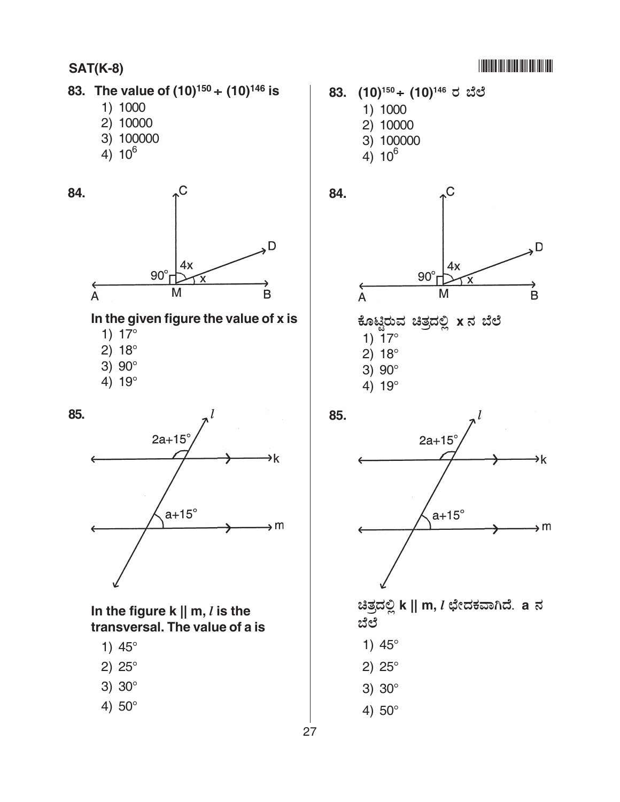#### -

#### **SAT(K-8)**

#### **83. The value of (10)150** ÷ **(10)146 is**

- 1) 1000
- 2) 10000
- 3) 100000
- 4)  $10^6$



#### **In the given figure the value of x is**

- 1) 17°
- 2) 18°
- 3) 90°
- 4) 19°



#### **In the figure k || m,** *l* **is the transversal. The value of a is**

- 1) 45°
- 2) 25°
- 3) 30°
- 4) 50°





| ಕೊಟ್ಟಿರುವ ಚಿತ್ರದಲ್ಲಿ xನ ಬೆಲೆ |  |  |
|------------------------------|--|--|
| 1) $17^{\circ}$              |  |  |
| $2) 18^{\circ}$              |  |  |
| 3) $90^{\circ}$              |  |  |
| 4) $19^{\circ}$              |  |  |



ಚಿತ್ರದಲ್ಲಿ k || m, *l* ಛೇದಕವಾಗಿದೆ. a ನ ಬೆಲೆ

- 1) 45°
- 2) 25°
- 3) 30°
- 4) 50°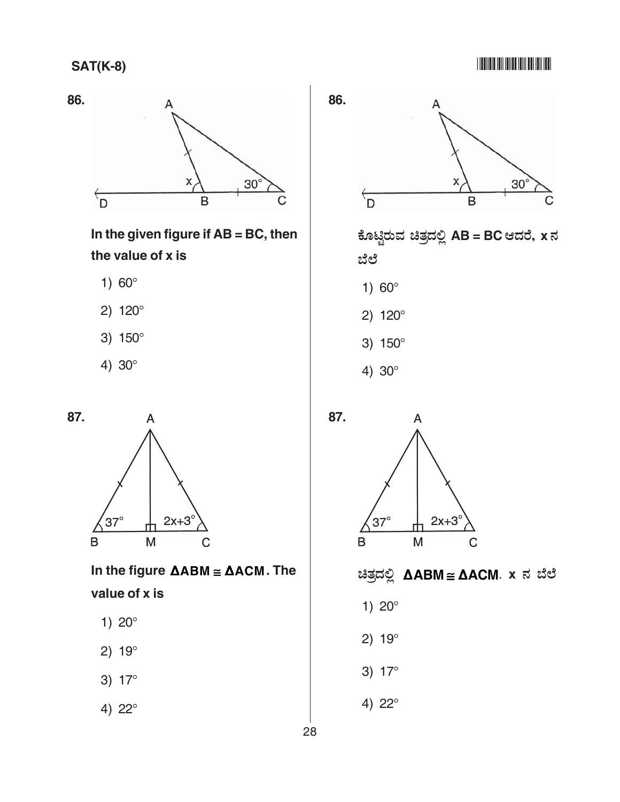#### -



**In the given figure if AB = BC, then the value of x is**

- 1) 60°
- 2) 120°
- 3) 150°
- 4) 30°



**In the figure ABM** ≅ **ACM. The value of x is**

- 1) 20°
- 2) 19°

3) 17°

4) 22°



ಕೊಟ್ಟಿರುವ ಚಿತ್ರದಲ್ಲಿ AB = BC ಆದರೆ, x ನ ಬೆಲೆ

- 1) 60°
- 2) 120°
- 3) 150°
- 4) 30°





A

 $i$ ತಿತ್ರದಲ್ಲಿ **∆ABM** ≅ **∆ACM**. x ನ ಬೆಲೆ

- 1) 20°
- 2) 19°
- 3) 17°
- 4) 22°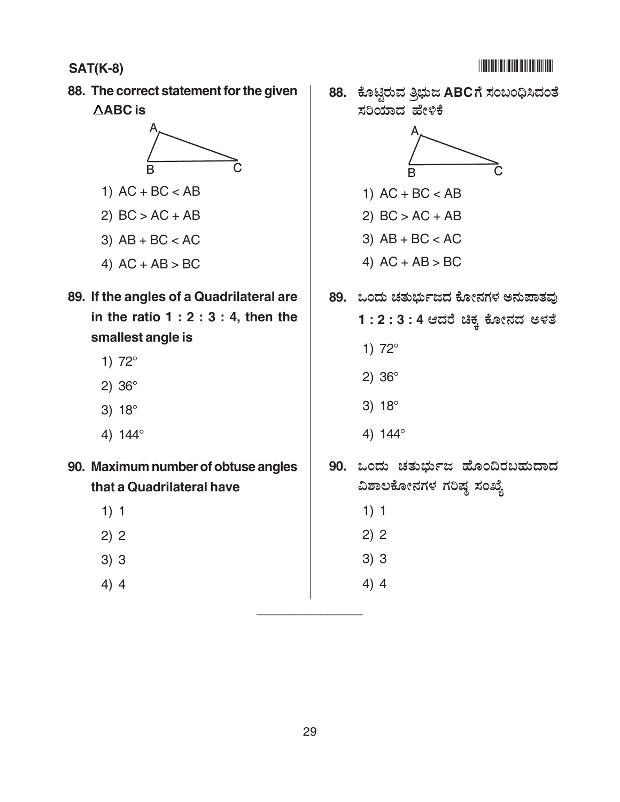**88. The correct statement for the given ABC is**



1)  $AC + BC < AB$ 

2)  $BC > AC + AB$ 

- 3)  $AB + BC < AC$
- 4)  $AC + AB > BC$

### **89. If the angles of a Quadrilateral are in the ratio 1 : 2 : 3 : 4, then the smallest angle is**

- 1) 72°
- 2) 36°
- 3) 18°
- 4) 144°
- **90. Maximum number of obtuse angles that a Quadrilateral have**
	- 1) 1
	- 2) 2
	- 3) 3
	- 4) 4

88. ಕೊಟ್ಟಿರುವ ತ್ರಿಭುಜ ABCಗೆ ಸಂಬಂಧಿಸಿದಂತೆ ಸರಿಯಾದ ಹೇಳಿಕೆ



- 1)  $AC + BC < AB$
- 2)  $BC > AC + AB$
- 3)  $AB + BC < AC$
- 4) AC + AB > BC
- 89. ಒಂದು ಚತುರ್ಭುಜದ ಕೋನಗಳ ಅನುಪಾತವು
	- 1 : 2 : 3 : 4 ಆದರೆ ಚಿಕ್ಕ ಕೋನದ ಅಳತೆ
		- 1) 72°
		- 2) 36°
		- 3) 18°
		- 4) 144°
- 90. ಒಂದು ಚತುರ್ಭುಜ ಹೊಂದಿರಬಹುದಾದ ವಿಶಾಲಕೋನಗಳ ಗರಿಷ್ಠ ಸಂಖ್ಯೆ
	- 1) 1
	- 2) 2
	- 3) 3
	- 4) 4

\_\_\_\_\_\_\_\_\_\_\_\_\_\_\_\_\_\_\_\_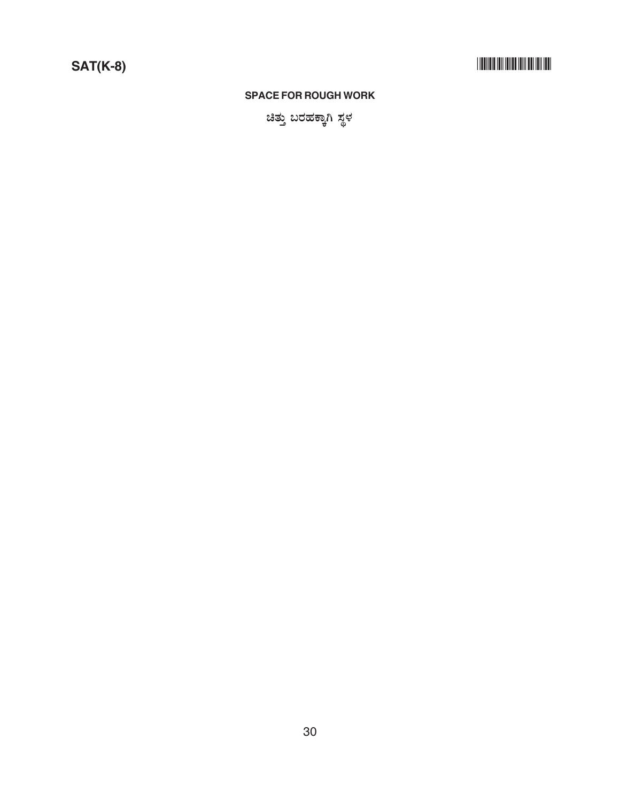#### **SPACE FOR ROUGH WORK**

ಚಿತ್ತು ಬರಹಕ್ಕಾಗಿ ಸ್ಥಳ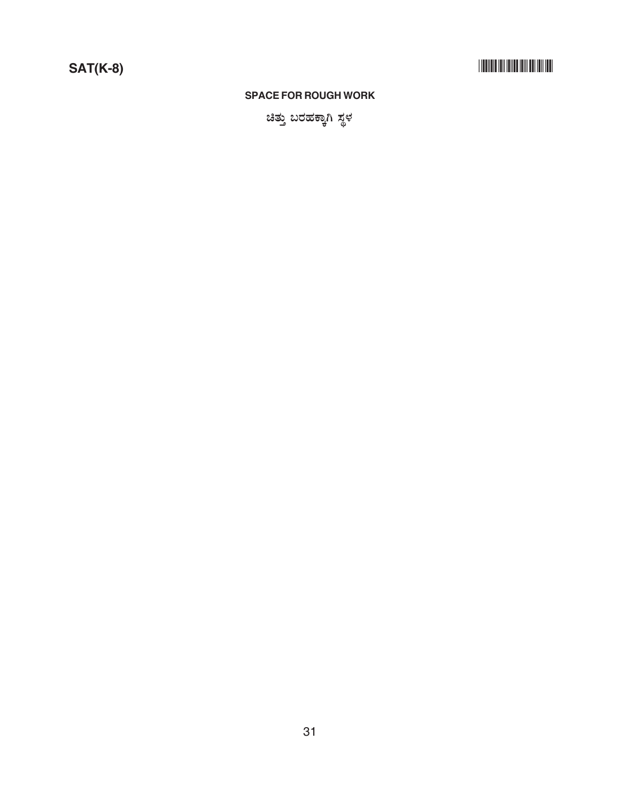### 

#### **SPACE FOR ROUGH WORK**

ಚಿತ್ತು ಬರಹಕ್ಕಾಗಿ ಸ್ಥಳ